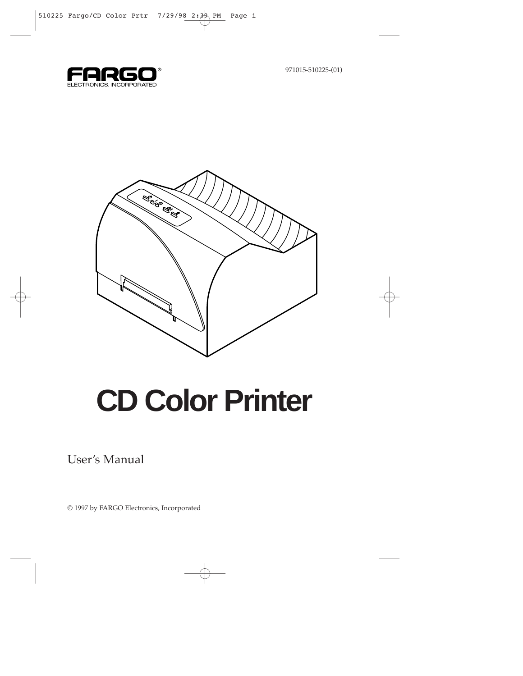971015-510225-(01)





# **CD Color Printer**

User's Manual

© 1997 by FARGO Electronics, Incorporated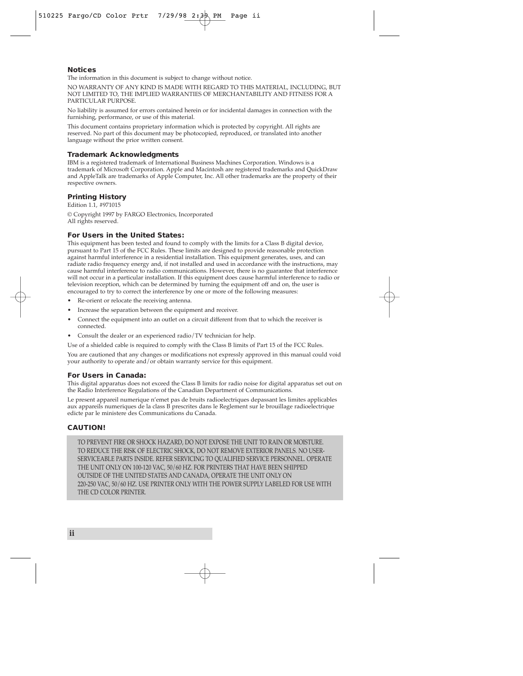#### **Notices**

The information in this document is subject to change without notice.

NO WARRANTY OF ANY KIND IS MADE WITH REGARD TO THIS MATERIAL, INCLUDING, BUT NOT LIMITED TO, THE IMPLIED WARRANTIES OF MERCHANTABILITY AND FITNESS FOR A PARTICULAR PURPOSE.

No liability is assumed for errors contained herein or for incidental damages in connection with the furnishing, performance, or use of this material.

This document contains proprietary information which is protected by copyright. All rights are reserved. No part of this document may be photocopied, reproduced, or translated into another language without the prior written consent.

#### **Trademark Acknowledgments**

IBM is a registered trademark of International Business Machines Corporation. Windows is a trademark of Microsoft Corporation. Apple and Macintosh are registered trademarks and QuickDraw and AppleTalk are trademarks of Apple Computer, Inc. All other trademarks are the property of their respective owners.

#### **Printing History**

Edition 1.1, #971015 © Copyright 1997 by FARGO Electronics, Incorporated All rights reserved.

#### **For Users in the United States:**

This equipment has been tested and found to comply with the limits for a Class B digital device, pursuant to Part 15 of the FCC Rules. These limits are designed to provide reasonable protection against harmful interference in a residential installation. This equipment generates, uses, and can radiate radio frequency energy and, if not installed and used in accordance with the instructions, may cause harmful interference to radio communications. However, there is no guarantee that interference will not occur in a particular installation. If this equipment does cause harmful interference to radio or television reception, which can be determined by turning the equipment off and on, the user is encouraged to try to correct the interference by one or more of the following measures:

- Re-orient or relocate the receiving antenna.
- Increase the separation between the equipment and receiver.
- Connect the equipment into an outlet on a circuit different from that to which the receiver is connected.
- Consult the dealer or an experienced radio/TV technician for help.

Use of a shielded cable is required to comply with the Class B limits of Part 15 of the FCC Rules.

You are cautioned that any changes or modifications not expressly approved in this manual could void your authority to operate and/or obtain warranty service for this equipment.

#### **For Users in Canada:**

This digital apparatus does not exceed the Class B limits for radio noise for digital apparatus set out on the Radio Interference Regulations of the Canadian Department of Communications.

Le present appareil numerique n'emet pas de bruits radioelectriques depassant les limites applicables aux appareils numeriques de la class B prescrites dans le Reglement sur le brouillage radioelectrique edicte par le ministere des Communications du Canada.

#### **CAUTION!**

TO PREVENT FIRE OR SHOCK HAZARD, DO NOT EXPOSE THE UNIT TO RAIN OR MOISTURE. TO REDUCE THE RISK OF ELECTRIC SHOCK, DO NOT REMOVE EXTERIOR PANELS. NO USER-SERVICEABLE PARTS INSIDE. REFER SERVICING TO QUALIFIED SERVICE PERSONNEL. OPERATE THE UNIT ONLY ON 100-120 VAC, 50/60 HZ. FOR PRINTERS THAT HAVE BEEN SHIPPED OUTSIDE OF THE UNITED STATES AND CANADA, OPERATE THE UNIT ONLY ON 220-250 VAC, 50/60 HZ. USE PRINTER ONLY WITH THE POWER SUPPLY LABELED FOR USE WITH THE CD COLOR PRINTER.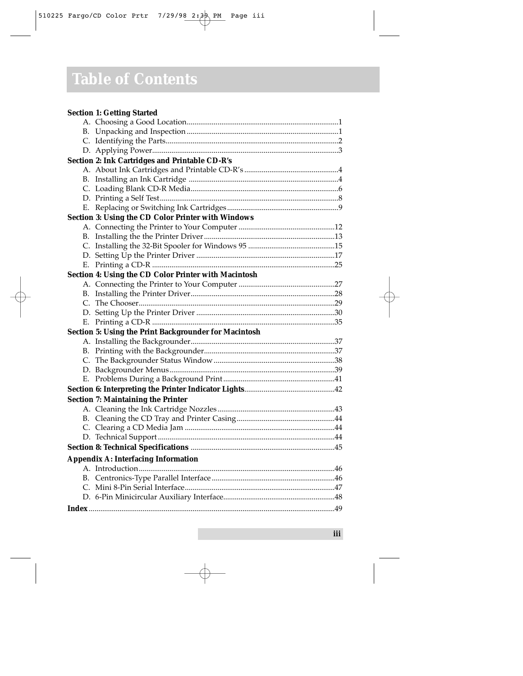## **Table of Contents**

|    | <b>Section 1: Getting Started</b>                     |
|----|-------------------------------------------------------|
|    |                                                       |
| В. |                                                       |
|    |                                                       |
|    |                                                       |
|    | Section 2: Ink Cartridges and Printable CD-R's        |
|    |                                                       |
|    |                                                       |
|    |                                                       |
|    |                                                       |
| Е. |                                                       |
|    | Section 3: Using the CD Color Printer with Windows    |
|    |                                                       |
|    |                                                       |
|    |                                                       |
|    |                                                       |
|    |                                                       |
|    | Section 4: Using the CD Color Printer with Macintosh  |
|    |                                                       |
| В. |                                                       |
|    |                                                       |
|    |                                                       |
| Е. |                                                       |
|    | Section 5: Using the Print Backgrounder for Macintosh |
|    |                                                       |
|    |                                                       |
|    |                                                       |
|    |                                                       |
|    |                                                       |
|    |                                                       |
|    | <b>Section 7: Maintaining the Printer</b>             |
|    |                                                       |
|    |                                                       |
|    |                                                       |
|    |                                                       |
|    |                                                       |
|    | <b>Appendix A: Interfacing Information</b>            |
|    |                                                       |
| B. |                                                       |
|    |                                                       |
|    |                                                       |
|    |                                                       |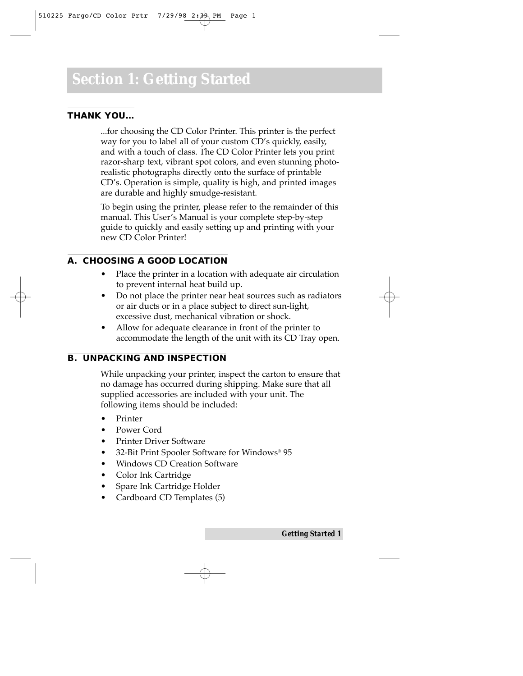#### **THANK YOU…**

...for choosing the CD Color Printer. This printer is the perfect way for you to label all of your custom CD's quickly, easily, and with a touch of class. The CD Color Printer lets you print razor-sharp text, vibrant spot colors, and even stunning photorealistic photographs directly onto the surface of printable CD's. Operation is simple, quality is high, and printed images are durable and highly smudge-resistant.

To begin using the printer, please refer to the remainder of this manual. This User's Manual is your complete step-by-step guide to quickly and easily setting up and printing with your new CD Color Printer!

#### **A. CHOOSING A GOOD LOCATION**

- Place the printer in a location with adequate air circulation to prevent internal heat build up.
- Do not place the printer near heat sources such as radiators or air ducts or in a place subject to direct sun-light, excessive dust, mechanical vibration or shock.
- Allow for adequate clearance in front of the printer to accommodate the length of the unit with its CD Tray open.

#### **B. UNPACKING AND INSPECTION**

While unpacking your printer, inspect the carton to ensure that no damage has occurred during shipping. Make sure that all supplied accessories are included with your unit. The following items should be included:

- Printer
- Power Cord
- Printer Driver Software
- 32-Bit Print Spooler Software for Windows® 95
- Windows CD Creation Software
- Color Ink Cartridge
- Spare Ink Cartridge Holder
- Cardboard CD Templates (5)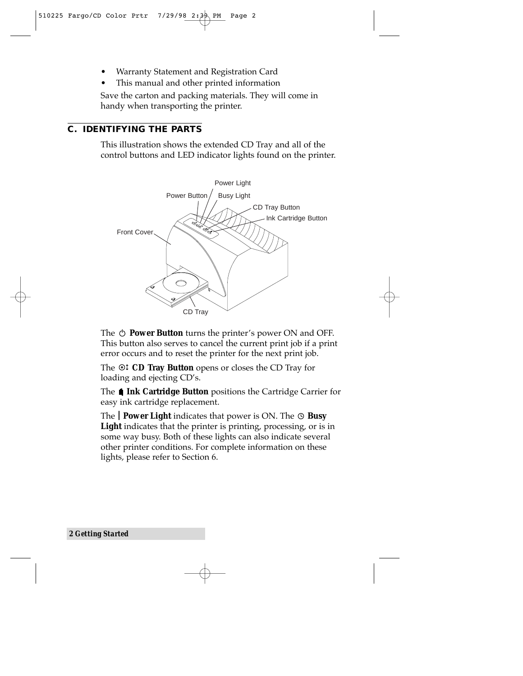- Warranty Statement and Registration Card
- This manual and other printed information

Save the carton and packing materials. They will come in handy when transporting the printer.

#### **C. IDENTIFYING THE PARTS**

This illustration shows the extended CD Tray and all of the control buttons and LED indicator lights found on the printer.



The  $\circlearrowleft$  **Power Button** turns the printer's power ON and OFF. This button also serves to cancel the current print job if a print error occurs and to reset the printer for the next print job.

The **CD Tray Button** opens or closes the CD Tray for loading and ejecting CD's.

The **1 Ink Cartridge Button** positions the Cartridge Carrier for easy ink cartridge replacement.

The **Power Light** indicates that power is ON. The  $\odot$  **Busy** Light indicates that the printer is printing, processing, or is in some way busy. Both of these lights can also indicate several other printer conditions. For complete information on these lights, please refer to Section 6.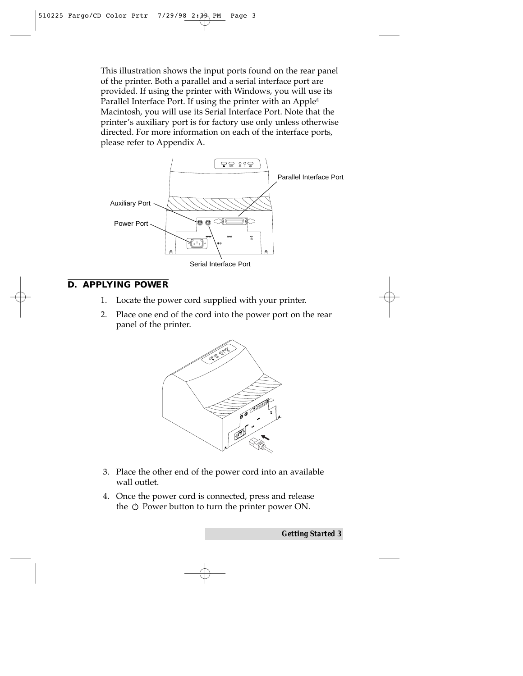This illustration shows the input ports found on the rear panel of the printer. Both a parallel and a serial interface port are provided. If using the printer with Windows, you will use its Parallel Interface Port. If using the printer with an Apple® Macintosh, you will use its Serial Interface Port. Note that the printer's auxiliary port is for factory use only unless otherwise directed. For more information on each of the interface ports, please refer to Appendix A.



#### **D. APPLYING POWER**

- 1. Locate the power cord supplied with your printer.
- 2. Place one end of the cord into the power port on the rear panel of the printer.



- 3. Place the other end of the power cord into an available wall outlet.
- 4. Once the power cord is connected, press and release the  $\circlearrowright$  Power button to turn the printer power ON.

*Getting Started 3*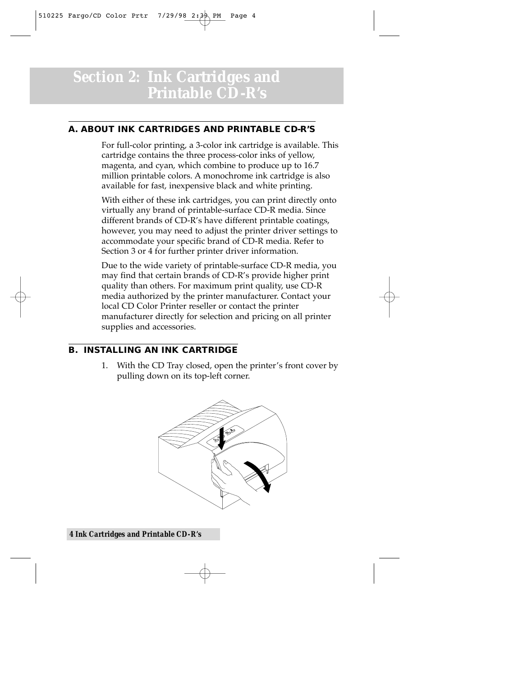### *Section 2:* **Ink Cartridges and Printable CD-R's**

#### **A. ABOUT INK CARTRIDGES AND PRINTABLE CD-R'S**

For full-color printing, a 3-color ink cartridge is available. This cartridge contains the three process-color inks of yellow, magenta, and cyan, which combine to produce up to 16.7 million printable colors. A monochrome ink cartridge is also available for fast, inexpensive black and white printing.

With either of these ink cartridges, you can print directly onto virtually any brand of printable-surface CD-R media. Since different brands of CD-R's have different printable coatings, however, you may need to adjust the printer driver settings to accommodate your specific brand of CD-R media. Refer to Section 3 or 4 for further printer driver information.

Due to the wide variety of printable-surface CD-R media, you may find that certain brands of CD-R's provide higher print quality than others. For maximum print quality, use CD-R media authorized by the printer manufacturer. Contact your local CD Color Printer reseller or contact the printer manufacturer directly for selection and pricing on all printer supplies and accessories.

#### **B. INSTALLING AN INK CARTRIDGE**

1. With the CD Tray closed, open the printer's front cover by pulling down on its top-left corner.

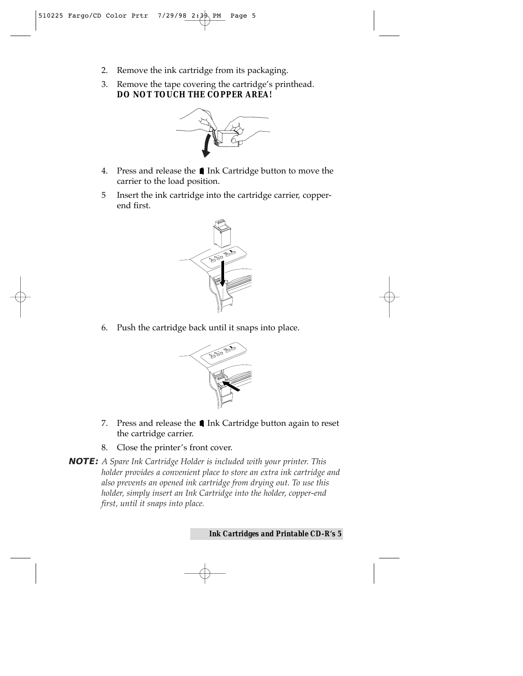- 2. Remove the ink cartridge from its packaging.
- 3. Remove the tape covering the cartridge's printhead. *DO NOT TOUCH THE COPPER AREA!*



- 4. Press and release the **I** Ink Cartridge button to move the carrier to the load position.
- 5 Insert the ink cartridge into the cartridge carrier, copperend first.



6. Push the cartridge back until it snaps into place.



- 7. Press and release the ∎ Ink Cartridge button again to reset the cartridge carrier.
- 8. Close the printer's front cover.
- **NOTE:** *A Spare Ink Cartridge Holder is included with your printer. This holder provides a convenient place to store an extra ink cartridge and also prevents an opened ink cartridge from drying out. To use this holder, simply insert an Ink Cartridge into the holder, copper-end first, until it snaps into place.*

*Ink Cartridges and Printable CD-R's 5*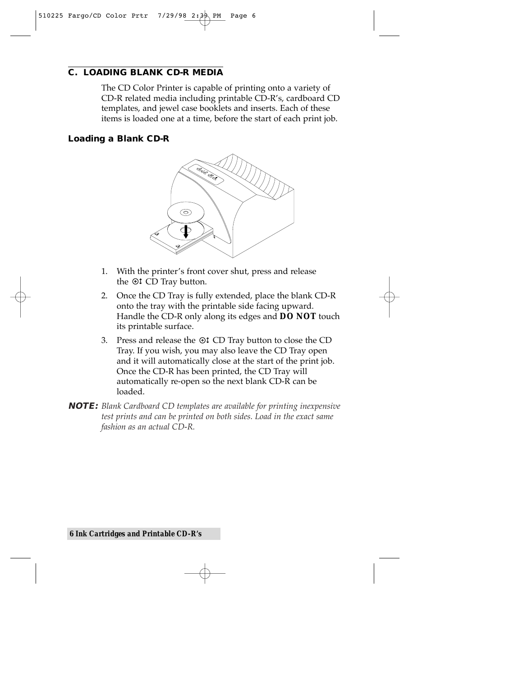#### **C. LOADING BLANK CD-R MEDIA**

The CD Color Printer is capable of printing onto a variety of CD-R related media including printable CD-R's, cardboard CD templates, and jewel case booklets and inserts. Each of these items is loaded one at a time, before the start of each print job.

#### **Loading a Blank CD-R**



- 1. With the printer's front cover shut, press and release the  $\odot$  CD Tray button.
- 2. Once the CD Tray is fully extended, place the blank CD-R onto the tray with the printable side facing upward. Handle the CD-R only along its edges and **DO NOT** touch its printable surface.
- 3. Press and release the CD Tray button to close the CD Tray. If you wish, you may also leave the CD Tray open and it will automatically close at the start of the print job. Once the CD-R has been printed, the CD Tray will automatically re-open so the next blank CD-R can be loaded.
- **NOTE:** *Blank Cardboard CD templates are available for printing inexpensive test prints and can be printed on both sides. Load in the exact same fashion as an actual CD-R.*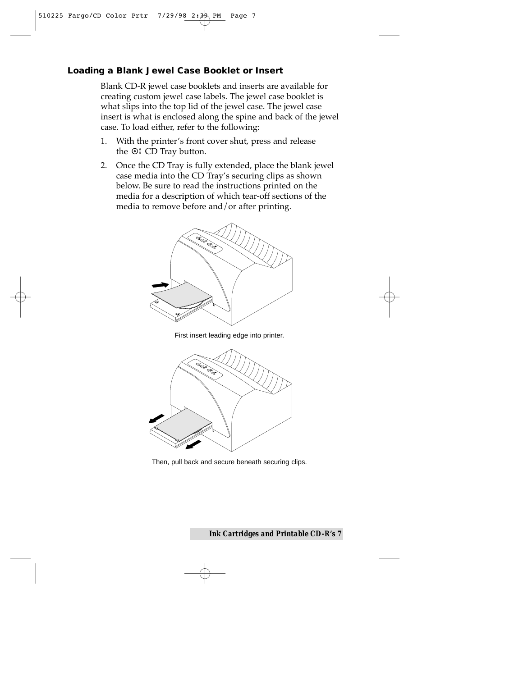#### **Loading a Blank Jewel Case Booklet or Insert**

Blank CD-R jewel case booklets and inserts are available for creating custom jewel case labels. The jewel case booklet is what slips into the top lid of the jewel case. The jewel case insert is what is enclosed along the spine and back of the jewel case. To load either, refer to the following:

- 1. With the printer's front cover shut, press and release the  $\odot$  CD Tray button.
- 2. Once the CD Tray is fully extended, place the blank jewel case media into the CD Tray's securing clips as shown below. Be sure to read the instructions printed on the media for a description of which tear-off sections of the media to remove before and/or after printing.



First insert leading edge into printer.



Then, pull back and secure beneath securing clips.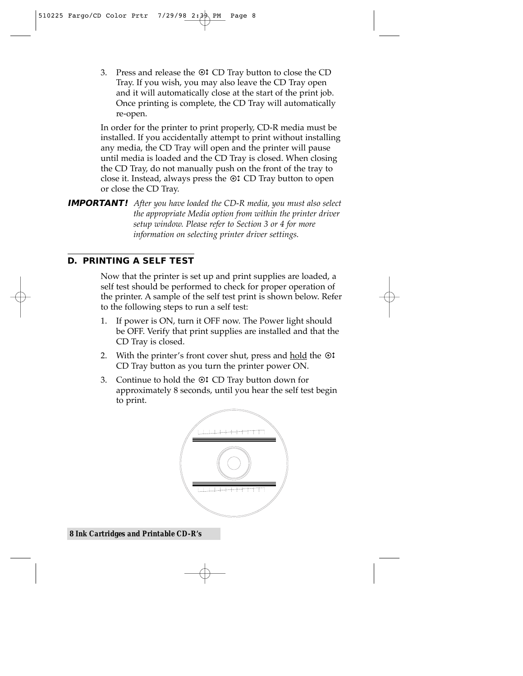3. Press and release the CD Tray button to close the CD Tray. If you wish, you may also leave the CD Tray open and it will automatically close at the start of the print job. Once printing is complete, the CD Tray will automatically re-open.

In order for the printer to print properly, CD-R media must be installed. If you accidentally attempt to print without installing any media, the CD Tray will open and the printer will pause until media is loaded and the CD Tray is closed. When closing the CD Tray, do not manually push on the front of the tray to close it. Instead, always press the  $\odot$  CD Tray button to open or close the CD Tray.

**IMPORTANT!** *After you have loaded the CD-R media, you must also select the appropriate Media option from within the printer driver setup window. Please refer to Section 3 or 4 for more information on selecting printer driver settings.*

#### **D. PRINTING A SELF TEST**

Now that the printer is set up and print supplies are loaded, a self test should be performed to check for proper operation of the printer. A sample of the self test print is shown below. Refer to the following steps to run a self test:

- 1. If power is ON, turn it OFF now. The Power light should be OFF. Verify that print supplies are installed and that the CD Tray is closed.
- 2. With the printer's front cover shut, press and hold the  $\circledcirc$ CD Tray button as you turn the printer power ON.
- 3. Continue to hold the  $\odot$  CD Tray button down for approximately 8 seconds, until you hear the self test begin to print.



*8 Ink Cartridges and Printable CD-R's*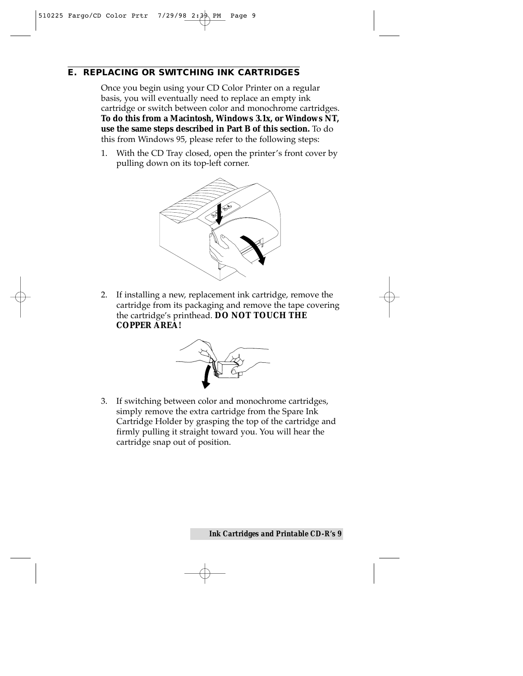#### **E. REPLACING OR SWITCHING INK CARTRIDGES**

Once you begin using your CD Color Printer on a regular basis, you will eventually need to replace an empty ink cartridge or switch between color and monochrome cartridges. **To do this from a Macintosh, Windows 3.1x, or Windows NT, use the same steps described in Part B of this section.** To do this from Windows 95, please refer to the following steps:

1. With the CD Tray closed, open the printer's front cover by pulling down on its top-left corner.



2. If installing a new, replacement ink cartridge, remove the cartridge from its packaging and remove the tape covering the cartridge's printhead. **DO NOT TOUCH THE COPPER AREA!**



3. If switching between color and monochrome cartridges, simply remove the extra cartridge from the Spare Ink Cartridge Holder by grasping the top of the cartridge and firmly pulling it straight toward you. You will hear the cartridge snap out of position.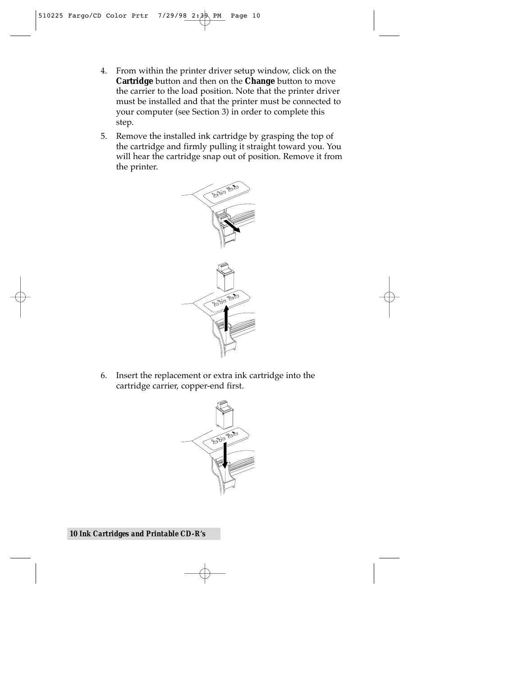- 4. From within the printer driver setup window, click on the **Cartridge** button and then on the **Change** button to move the carrier to the load position. Note that the printer driver must be installed and that the printer must be connected to your computer (see Section 3) in order to complete this step.
- 5. Remove the installed ink cartridge by grasping the top of the cartridge and firmly pulling it straight toward you. You will hear the cartridge snap out of position. Remove it from the printer.



6. Insert the replacement or extra ink cartridge into the cartridge carrier, copper-end first.

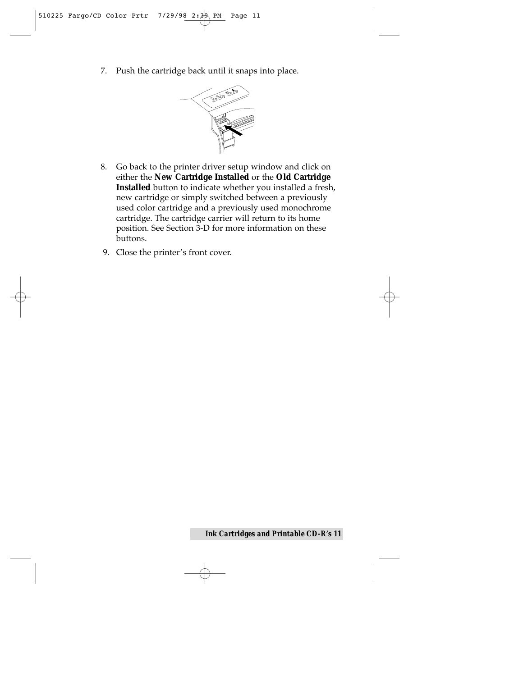7. Push the cartridge back until it snaps into place.



- 8. Go back to the printer driver setup window and click on either the **New Cartridge Installed** or the **Old Cartridge Installed** button to indicate whether you installed a fresh, new cartridge or simply switched between a previously used color cartridge and a previously used monochrome cartridge. The cartridge carrier will return to its home position. See Section 3-D for more information on these buttons.
- 9. Close the printer's front cover.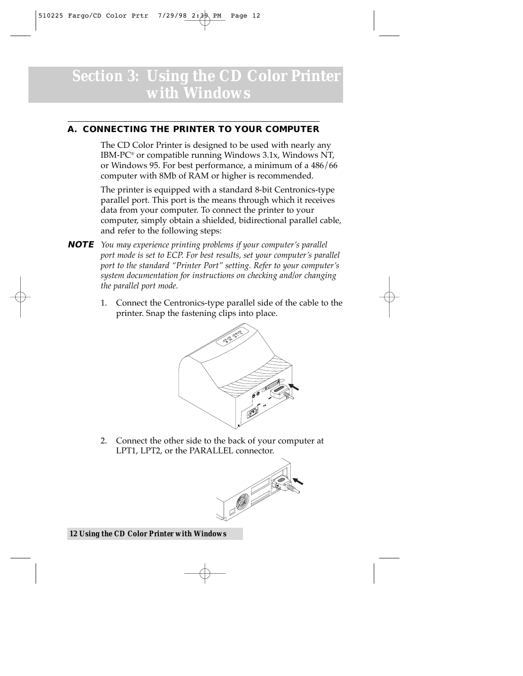## *Section 3:* **Using the CD Color Printer with Windows**

#### **A. CONNECTING THE PRINTER TO YOUR COMPUTER**

The CD Color Printer is designed to be used with nearly any IBM-PC® or compatible running Windows 3.1x, Windows NT, or Windows 95. For best performance, a minimum of a 486/66 computer with 8Mb of RAM or higher is recommended.

The printer is equipped with a standard 8-bit Centronics-type parallel port. This port is the means through which it receives data from your computer. To connect the printer to your computer, simply obtain a shielded, bidirectional parallel cable, and refer to the following steps:

- **NOTE** *You may experience printing problems if your computer's parallel port mode is set to ECP. For best results, set your computer's parallel port to the standard "Printer Port" setting. Refer to your computer's system documentation for instructions on checking and/or changing the parallel port mode.*
	- 1. Connect the Centronics-type parallel side of the cable to the printer. Snap the fastening clips into place.



2. Connect the other side to the back of your computer at LPT1, LPT2, or the PARALLEL connector.



#### *12 Using the CD Color Printer with Windows*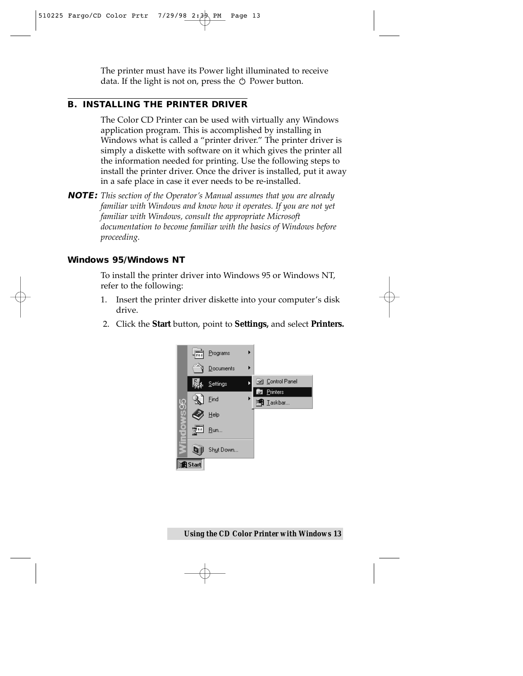The printer must have its Power light illuminated to receive data. If the light is not on, press the  $\circlearrowright$  Power button.

#### **B. INSTALLING THE PRINTER DRIVER**

The Color CD Printer can be used with virtually any Windows application program. This is accomplished by installing in Windows what is called a "printer driver." The printer driver is simply a diskette with software on it which gives the printer all the information needed for printing. Use the following steps to install the printer driver. Once the driver is installed, put it away in a safe place in case it ever needs to be re-installed.

**NOTE:** *This section of the Operator's Manual assumes that you are already familiar with Windows and know how it operates. If you are not yet familiar with Windows, consult the appropriate Microsoft documentation to become familiar with the basics of Windows before proceeding.*

#### **Windows 95/Windows NT**

To install the printer driver into Windows 95 or Windows NT, refer to the following:

- 1. Insert the printer driver diskette into your computer's disk drive.
- 2. Click the **Start** button, point to **Settings,** and select **Printers.**

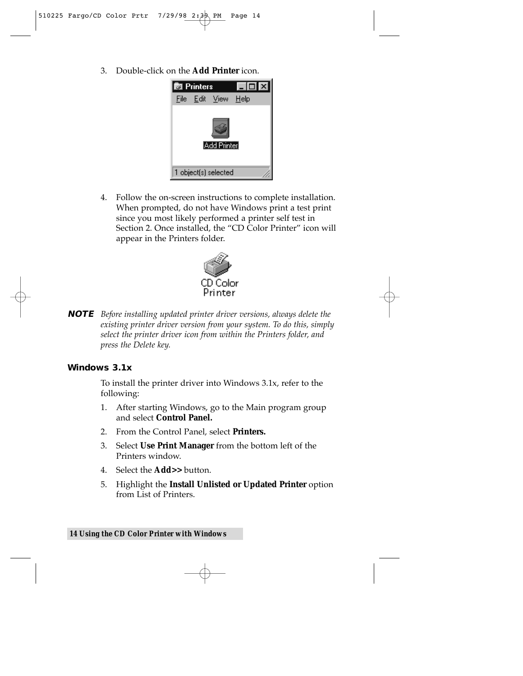3. Double-click on the **Add Printer** icon.



4. Follow the on-screen instructions to complete installation. When prompted, do not have Windows print a test print since you most likely performed a printer self test in Section 2. Once installed, the "CD Color Printer" icon will appear in the Printers folder.



**NOTE** *Before installing updated printer driver versions, always delete the existing printer driver version from your system. To do this, simply select the printer driver icon from within the Printers folder, and press the Delete key.*

#### **Windows 3.1x**

To install the printer driver into Windows 3.1x, refer to the following:

- 1. After starting Windows, go to the Main program group and select **Control Panel.**
- 2. From the Control Panel, select **Printers.**
- 3. Select **Use Print Manager** from the bottom left of the Printers window.
- 4. Select the **Add>>** button.
- 5. Highlight the **Install Unlisted or Updated Printer** option from List of Printers.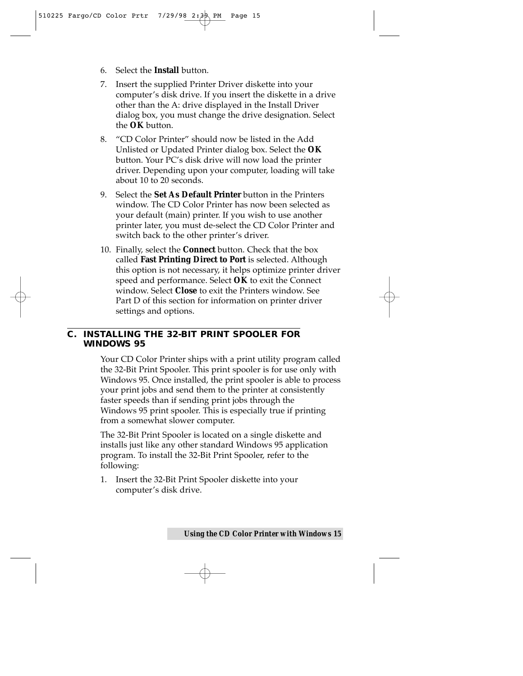- 6. Select the **Install** button.
- 7. Insert the supplied Printer Driver diskette into your computer's disk drive. If you insert the diskette in a drive other than the A: drive displayed in the Install Driver dialog box, you must change the drive designation. Select the **OK** button.
- 8. "CD Color Printer" should now be listed in the Add Unlisted or Updated Printer dialog box. Select the **OK** button. Your PC's disk drive will now load the printer driver. Depending upon your computer, loading will take about 10 to 20 seconds.
- 9. Select the **Set As Default Printer** button in the Printers window. The CD Color Printer has now been selected as your default (main) printer. If you wish to use another printer later, you must de-select the CD Color Printer and switch back to the other printer's driver.
- 10. Finally, select the **Connect** button. Check that the box called **Fast Printing Direct to Port** is selected. Although this option is not necessary, it helps optimize printer driver speed and performance. Select **OK** to exit the Connect window. Select **Close** to exit the Printers window. See Part D of this section for information on printer driver settings and options.

#### **C. INSTALLING THE 32-BIT PRINT SPOOLER FOR WINDOWS 95**

Your CD Color Printer ships with a print utility program called the 32-Bit Print Spooler. This print spooler is for use only with Windows 95. Once installed, the print spooler is able to process your print jobs and send them to the printer at consistently faster speeds than if sending print jobs through the Windows 95 print spooler. This is especially true if printing from a somewhat slower computer.

The 32-Bit Print Spooler is located on a single diskette and installs just like any other standard Windows 95 application program. To install the 32-Bit Print Spooler, refer to the following:

1. Insert the 32-Bit Print Spooler diskette into your computer's disk drive.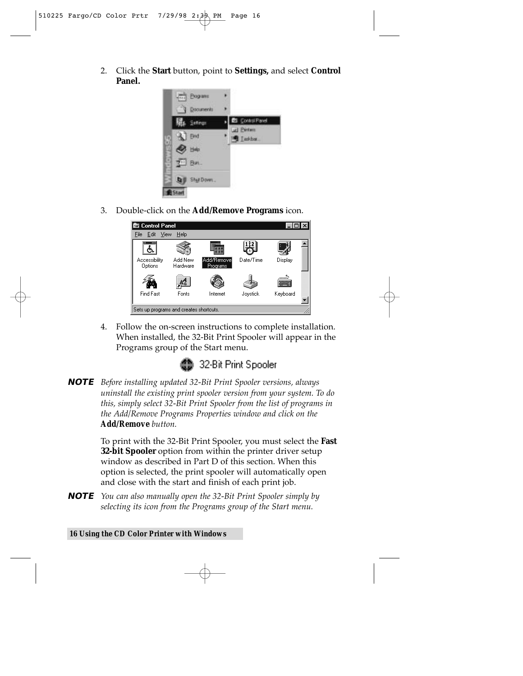2. Click the **Start** button, point to **Settings,** and select **Control Panel.**



3. Double-click on the **Add/Remove Programs** icon.

| ■ Control Panel                         |                     |                        |           | $ \Box$  |  |
|-----------------------------------------|---------------------|------------------------|-----------|----------|--|
| View<br>Edit<br>File                    | Help                |                        |           |          |  |
| ᇤ                                       |                     |                        |           |          |  |
| Accessibility<br>Options                | Add New<br>Hardware | Add/Remove<br>Programs | Date/Time | Display  |  |
|                                         |                     |                        |           |          |  |
| Find Fast                               | Fonts               | Internet               | Joystick  | Keyboard |  |
| Sets up programs and creates shortcuts. |                     |                        |           |          |  |

4. Follow the on-screen instructions to complete installation. When installed, the 32-Bit Print Spooler will appear in the Programs group of the Start menu.



**NOTE** *Before installing updated 32-Bit Print Spooler versions, always uninstall the existing print spooler version from your system. To do this, simply select 32-Bit Print Spooler from the list of programs in the Add/Remove Programs Properties window and click on the Add/Remove button.*

> To print with the 32-Bit Print Spooler, you must select the **Fast 32-bit Spooler** option from within the printer driver setup window as described in Part D of this section. When this option is selected, the print spooler will automatically open and close with the start and finish of each print job.

**NOTE** *You can also manually open the 32-Bit Print Spooler simply by selecting its icon from the Programs group of the Start menu.*

#### *16 Using the CD Color Printer with Windows*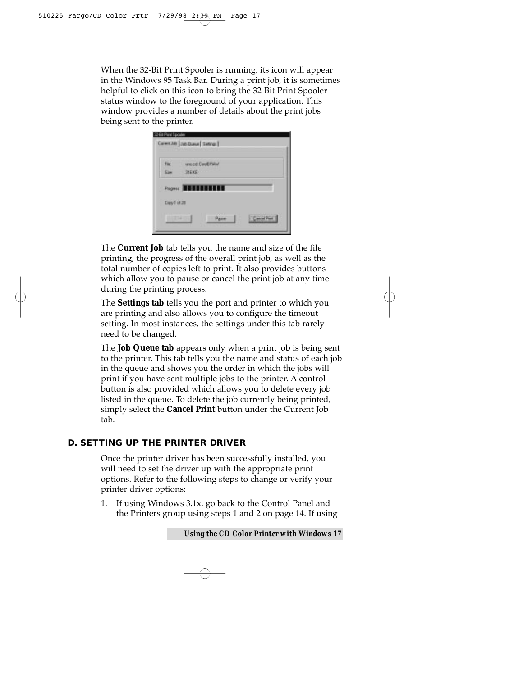When the 32-Bit Print Spooler is running, its icon will appear in the Windows 95 Task Bar. During a print job, it is sometimes helpful to click on this icon to bring the 32-Bit Print Spooler status window to the foreground of your application. This window provides a number of details about the print jobs being sent to the printer.

| Film <sup>2</sup> | <b><i>Import Conditional</i></b> |  |
|-------------------|----------------------------------|--|
| Sim               | 216.037                          |  |
|                   | Proven <b>2000000000</b>         |  |
|                   |                                  |  |
| Dapy 7 of 28      |                                  |  |

The **Current Job** tab tells you the name and size of the file printing, the progress of the overall print job, as well as the total number of copies left to print. It also provides buttons which allow you to pause or cancel the print job at any time during the printing process.

The **Settings tab** tells you the port and printer to which you are printing and also allows you to configure the timeout setting. In most instances, the settings under this tab rarely need to be changed.

The **Job Queue tab** appears only when a print job is being sent to the printer. This tab tells you the name and status of each job in the queue and shows you the order in which the jobs will print if you have sent multiple jobs to the printer. A control button is also provided which allows you to delete every job listed in the queue. To delete the job currently being printed, simply select the **Cancel Print** button under the Current Job tab.

#### **D. SETTING UP THE PRINTER DRIVER**

Once the printer driver has been successfully installed, you will need to set the driver up with the appropriate print options. Refer to the following steps to change or verify your printer driver options:

1. If using Windows 3.1x, go back to the Control Panel and the Printers group using steps 1 and 2 on page 14. If using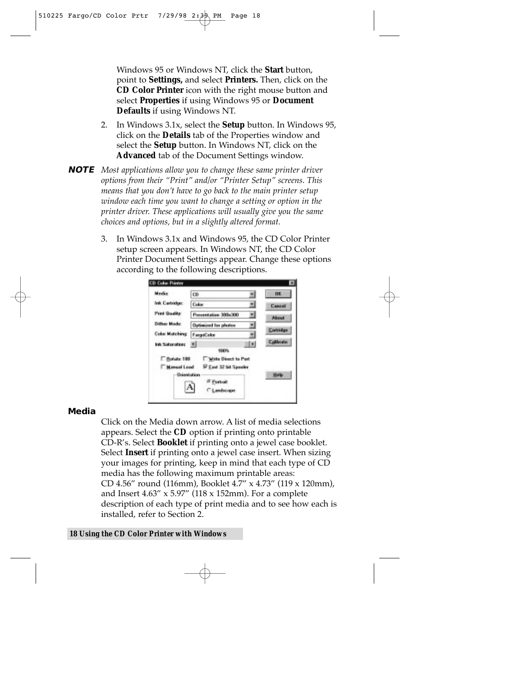Windows 95 or Windows NT, click the **Start** button, point to **Settings,** and select **Printers.** Then, click on the **CD Color Printer** icon with the right mouse button and select **Properties** if using Windows 95 or **Document Defaults** if using Windows NT.

- 2. In Windows 3.1x, select the **Setup** button. In Windows 95, click on the **Details** tab of the Properties window and select the **Setup** button. In Windows NT, click on the **Advanced** tab of the Document Settings window.
- **NOTE** *Most applications allow you to change these same printer driver options from their "Print" and/or "Printer Setup" screens. This means that you don't have to go back to the main printer setup window each time you want to change a setting or option in the printer driver. These applications will usually give you the same choices and options, but in a slightly altered format.*
	- 3. In Windows 3.1x and Windows 95, the CD Color Printer setup screen appears. In Windows NT, the CD Color Printer Document Settings appear. Change these options according to the following descriptions.

| Media                 | CD.                          | <b>UK</b>     |
|-----------------------|------------------------------|---------------|
| Ink Cartridge:        | Color                        | <b>Cancel</b> |
| <b>Print Quality:</b> | Pierrestation 300x300        | About         |
| Dither Mode:          | <b>Optimized for photon</b>  | Cortridge     |
| <b>Color Matching</b> | <b>FargoColor</b><br>뾔       |               |
| Ink Saturation: 8     |                              | Calibrate     |
| F Rotate 188          | 100%<br>Write Direct to Part |               |
| Nanual Load           | IV East 32 bit Spooks        |               |
| <b>Orientation</b>    | (F. Portrait                 | Help.         |
|                       | C Landscape                  |               |

#### **Media**

Click on the Media down arrow. A list of media selections appears. Select the **CD** option if printing onto printable CD-R's. Select **Booklet** if printing onto a jewel case booklet. Select **Insert** if printing onto a jewel case insert. When sizing your images for printing, keep in mind that each type of CD media has the following maximum printable areas: CD 4.56" round (116mm), Booklet 4.7" x 4.73" (119 x 120mm), and Insert 4.63" x 5.97" (118 x 152mm). For a complete description of each type of print media and to see how each is installed, refer to Section 2.

#### *18 Using the CD Color Printer with Windows*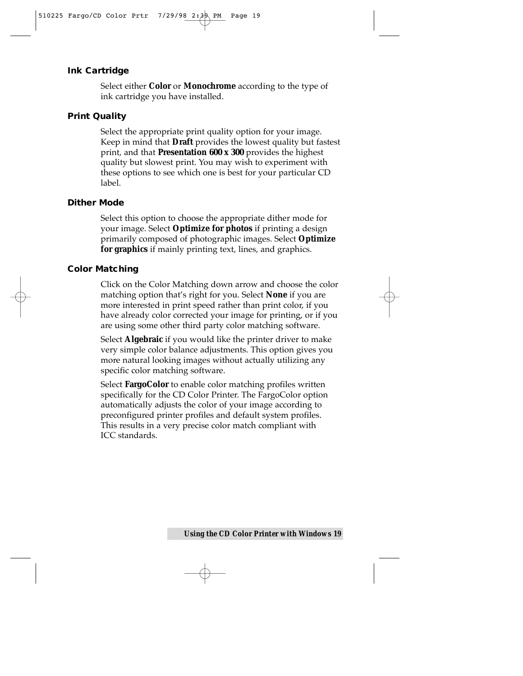#### **Ink Cartridge**

Select either **Color** or **Monochrome** according to the type of ink cartridge you have installed.

#### **Print Quality**

Select the appropriate print quality option for your image. Keep in mind that **Draft** provides the lowest quality but fastest print, and that **Presentation 600 x 300** provides the highest quality but slowest print. You may wish to experiment with these options to see which one is best for your particular CD label.

#### **Dither Mode**

Select this option to choose the appropriate dither mode for your image. Select **Optimize for photos** if printing a design primarily composed of photographic images. Select **Optimize for graphics** if mainly printing text, lines, and graphics.

#### **Color Matching**

Click on the Color Matching down arrow and choose the color matching option that's right for you. Select **None** if you are more interested in print speed rather than print color, if you have already color corrected your image for printing, or if you are using some other third party color matching software.

Select **Algebraic** if you would like the printer driver to make very simple color balance adjustments. This option gives you more natural looking images without actually utilizing any specific color matching software.

Select **FargoColor** to enable color matching profiles written specifically for the CD Color Printer. The FargoColor option automatically adjusts the color of your image according to preconfigured printer profiles and default system profiles. This results in a very precise color match compliant with ICC standards.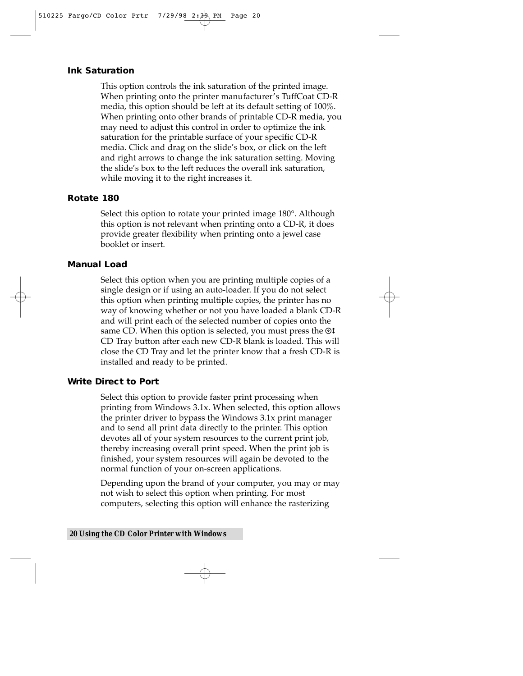#### **Ink Saturation**

This option controls the ink saturation of the printed image. When printing onto the printer manufacturer's TuffCoat CD-R media, this option should be left at its default setting of 100%. When printing onto other brands of printable CD-R media, you may need to adjust this control in order to optimize the ink saturation for the printable surface of your specific CD-R media. Click and drag on the slide's box, or click on the left and right arrows to change the ink saturation setting. Moving the slide's box to the left reduces the overall ink saturation, while moving it to the right increases it.

#### **Rotate 180**

Select this option to rotate your printed image 180°. Although this option is not relevant when printing onto a CD-R, it does provide greater flexibility when printing onto a jewel case booklet or insert.

#### **Manual Load**

Select this option when you are printing multiple copies of a single design or if using an auto-loader. If you do not select this option when printing multiple copies, the printer has no way of knowing whether or not you have loaded a blank CD-R and will print each of the selected number of copies onto the same CD. When this option is selected, you must press the  $\odot \ddagger$ CD Tray button after each new CD-R blank is loaded. This will close the CD Tray and let the printer know that a fresh CD-R is installed and ready to be printed.

#### **Write Direct to Port**

Select this option to provide faster print processing when printing from Windows 3.1x. When selected, this option allows the printer driver to bypass the Windows 3.1x print manager and to send all print data directly to the printer. This option devotes all of your system resources to the current print job, thereby increasing overall print speed. When the print job is finished, your system resources will again be devoted to the normal function of your on-screen applications.

Depending upon the brand of your computer, you may or may not wish to select this option when printing. For most computers, selecting this option will enhance the rasterizing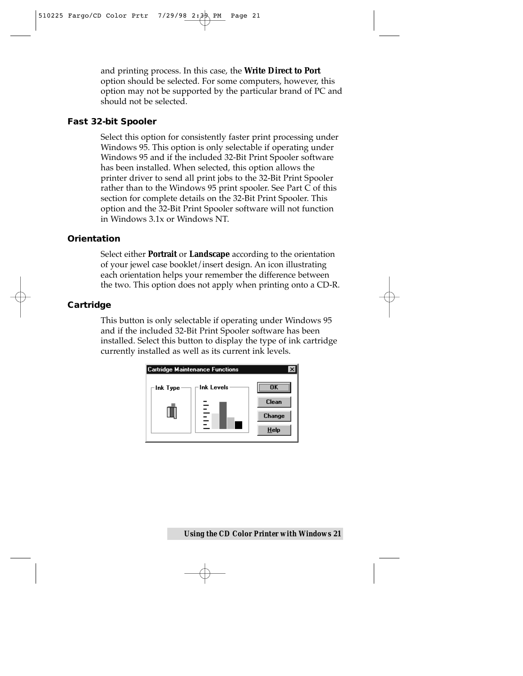and printing process. In this case, the **Write Direct to Port** option should be selected. For some computers, however, this option may not be supported by the particular brand of PC and should not be selected.

#### **Fast 32-bit Spooler**

Select this option for consistently faster print processing under Windows 95. This option is only selectable if operating under Windows 95 and if the included 32-Bit Print Spooler software has been installed. When selected, this option allows the printer driver to send all print jobs to the 32-Bit Print Spooler rather than to the Windows 95 print spooler. See Part C of this section for complete details on the 32-Bit Print Spooler. This option and the 32-Bit Print Spooler software will not function in Windows 3.1x or Windows NT.

#### **Orientation**

Select either **Portrait** or **Landscape** according to the orientation of your jewel case booklet/insert design. An icon illustrating each orientation helps your remember the difference between the two. This option does not apply when printing onto a CD-R.

#### **Cartridge**

This button is only selectable if operating under Windows 95 and if the included 32-Bit Print Spooler software has been installed. Select this button to display the type of ink cartridge currently installed as well as its current ink levels.

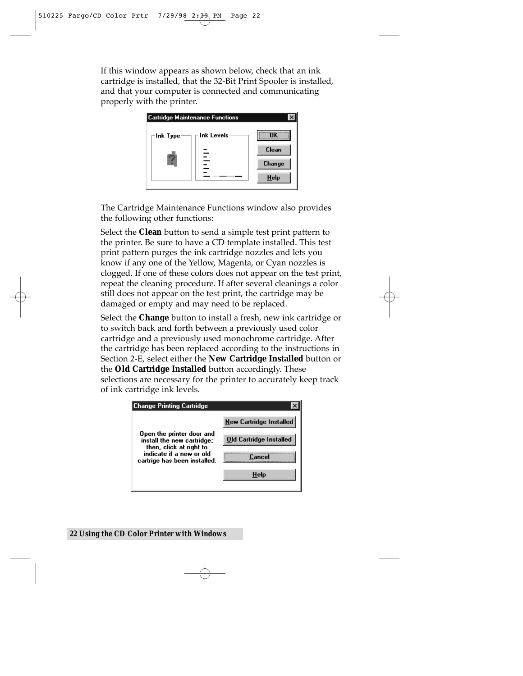If this window appears as shown below, check that an ink cartridge is installed, that the 32-Bit Print Spooler is installed, and that your computer is connected and communicating properly with the printer.



The Cartridge Maintenance Functions window also provides the following other functions:

Select the **Clean** button to send a simple test print pattern to the printer. Be sure to have a CD template installed. This test print pattern purges the ink cartridge nozzles and lets you know if any one of the Yellow, Magenta, or Cyan nozzles is clogged. If one of these colors does not appear on the test print, repeat the cleaning procedure. If after several cleanings a color still does not appear on the test print, the cartridge may be damaged or empty and may need to be replaced.

Select the **Change** button to install a fresh, new ink cartridge or to switch back and forth between a previously used color cartridge and a previously used monochrome cartridge. After the cartridge has been replaced according to the instructions in Section 2-E, select either the **New Cartridge Installed** button or the **Old Cartridge Installed** button accordingly. These selections are necessary for the printer to accurately keep track of ink cartridge ink levels.

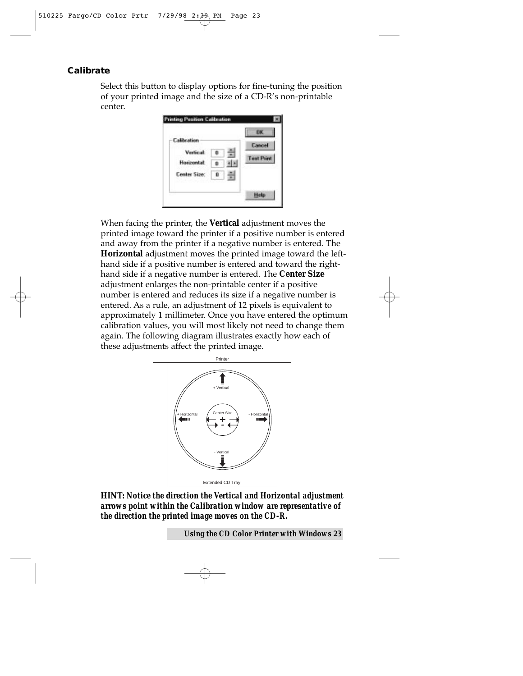#### **Calibrate**

Select this button to display options for fine-tuning the position of your printed image and the size of a CD-R's non-printable center.

| Calibration<br>Vertical<br>Harizantal | Cancel<br><b>Test Paint</b> |
|---------------------------------------|-----------------------------|
| Center Size:<br>ū                     | Help                        |

When facing the printer, the **Vertical** adjustment moves the printed image toward the printer if a positive number is entered and away from the printer if a negative number is entered. The **Horizontal** adjustment moves the printed image toward the lefthand side if a positive number is entered and toward the righthand side if a negative number is entered. The **Center Size** adjustment enlarges the non-printable center if a positive number is entered and reduces its size if a negative number is entered. As a rule, an adjustment of 12 pixels is equivalent to approximately 1 millimeter. Once you have entered the optimum calibration values, you will most likely not need to change them again. The following diagram illustrates exactly how each of these adjustments affect the printed image.



**HINT:** *Notice the direction the Vertical and Horizontal adjustment arrows point within the Calibration window are representative of the direction the printed image moves on the CD-R.*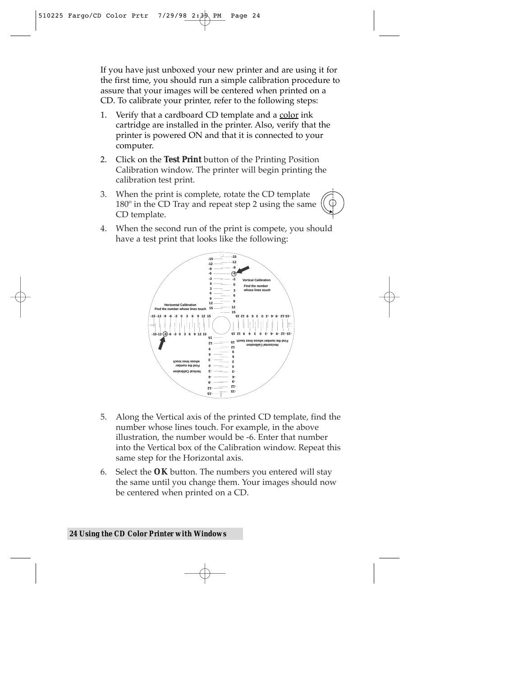If you have just unboxed your new printer and are using it for the first time, you should run a simple calibration procedure to assure that your images will be centered when printed on a CD. To calibrate your printer, refer to the following steps:

- 1. Verify that a cardboard CD template and a color ink cartridge are installed in the printer. Also, verify that the printer is powered ON and that it is connected to your computer.
- 2. Click on the **Test Print** button of the Printing Position Calibration window. The printer will begin printing the calibration test print.
- 3. When the print is complete, rotate the CD template 180º in the CD Tray and repeat step 2 using the same CD template.
- 4. When the second run of the print is compete, you should have a test print that looks like the following:



- 5. Along the Vertical axis of the printed CD template, find the number whose lines touch. For example, in the above illustration, the number would be -6. Enter that number into the Vertical box of the Calibration window. Repeat this same step for the Horizontal axis.
- 6. Select the **OK** button. The numbers you entered will stay the same until you change them. Your images should now be centered when printed on a CD.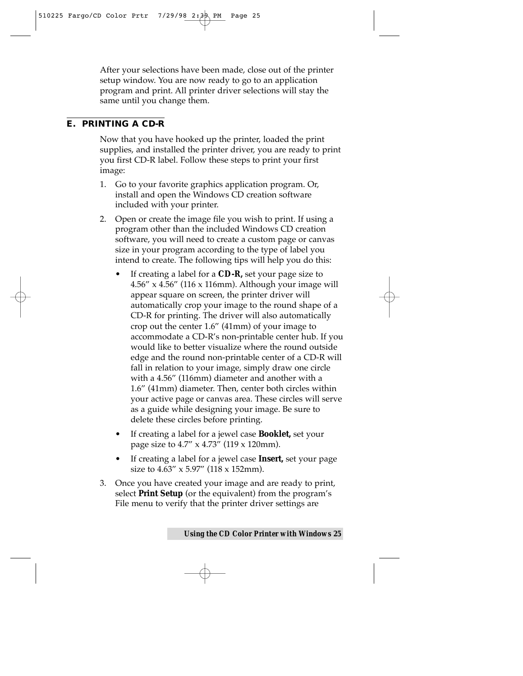After your selections have been made, close out of the printer setup window. You are now ready to go to an application program and print. All printer driver selections will stay the same until you change them.

#### **E. PRINTING A CD-R**

Now that you have hooked up the printer, loaded the print supplies, and installed the printer driver, you are ready to print you first CD-R label. Follow these steps to print your first image:

- 1. Go to your favorite graphics application program. Or, install and open the Windows CD creation software included with your printer.
- 2. Open or create the image file you wish to print. If using a program other than the included Windows CD creation software, you will need to create a custom page or canvas size in your program according to the type of label you intend to create. The following tips will help you do this:
	- If creating a label for a **CD-R,** set your page size to 4.56" x 4.56" (116 x 116mm). Although your image will appear square on screen, the printer driver will automatically crop your image to the round shape of a CD-R for printing. The driver will also automatically crop out the center 1.6" (41mm) of your image to accommodate a CD-R's non-printable center hub. If you would like to better visualize where the round outside edge and the round non-printable center of a CD-R will fall in relation to your image, simply draw one circle with a 4.56" (116mm) diameter and another with a 1.6" (41mm) diameter. Then, center both circles within your active page or canvas area. These circles will serve as a guide while designing your image. Be sure to delete these circles before printing.
	- If creating a label for a jewel case **Booklet,** set your page size to 4.7" x 4.73" (119 x 120mm).
	- If creating a label for a jewel case **Insert,** set your page size to 4.63" x 5.97" (118 x 152mm).
- 3. Once you have created your image and are ready to print, select **Print Setup** (or the equivalent) from the program's File menu to verify that the printer driver settings are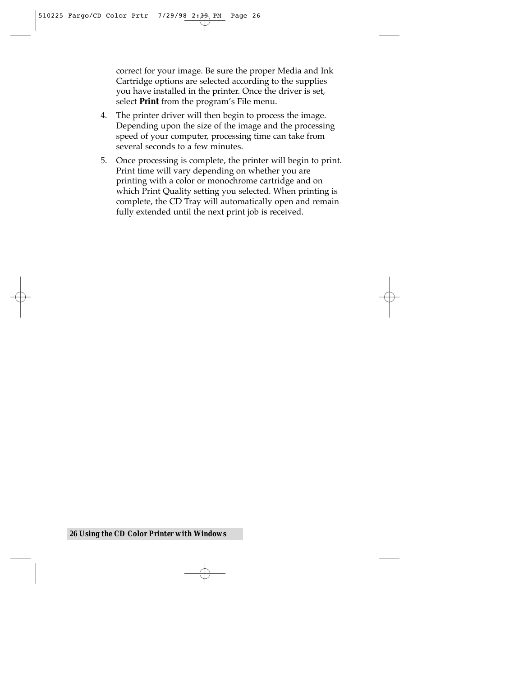correct for your image. Be sure the proper Media and Ink Cartridge options are selected according to the supplies you have installed in the printer. Once the driver is set, select **Print** from the program's File menu.

- 4. The printer driver will then begin to process the image. Depending upon the size of the image and the processing speed of your computer, processing time can take from several seconds to a few minutes.
- 5. Once processing is complete, the printer will begin to print. Print time will vary depending on whether you are printing with a color or monochrome cartridge and on which Print Quality setting you selected. When printing is complete, the CD Tray will automatically open and remain fully extended until the next print job is received.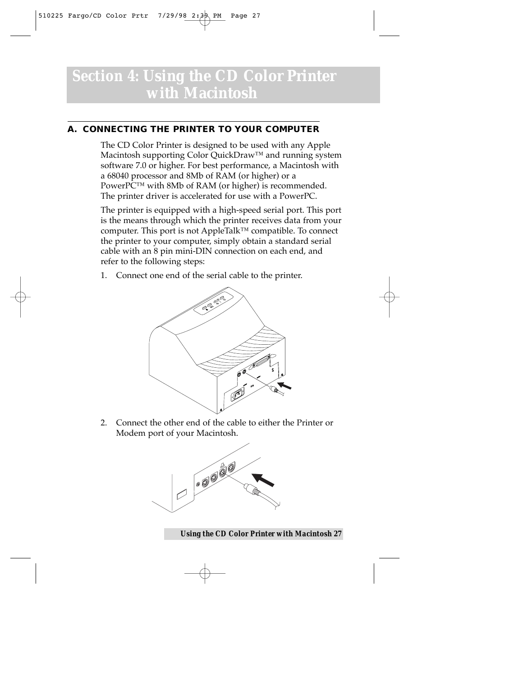### *Section 4:* **Using the CD Color Printer with Macintosh**

#### **A. CONNECTING THE PRINTER TO YOUR COMPUTER**

The CD Color Printer is designed to be used with any Apple Macintosh supporting Color QuickDraw™ and running system software 7.0 or higher. For best performance, a Macintosh with a 68040 processor and 8Mb of RAM (or higher) or a PowerPC™ with 8Mb of RAM (or higher) is recommended. The printer driver is accelerated for use with a PowerPC.

The printer is equipped with a high-speed serial port. This port is the means through which the printer receives data from your computer. This port is not AppleTalk™ compatible. To connect the printer to your computer, simply obtain a standard serial cable with an 8 pin mini-DIN connection on each end, and refer to the following steps:

1. Connect one end of the serial cable to the printer.



2. Connect the other end of the cable to either the Printer or Modem port of your Macintosh.



*Using the CD Color Printer with Macintosh 27*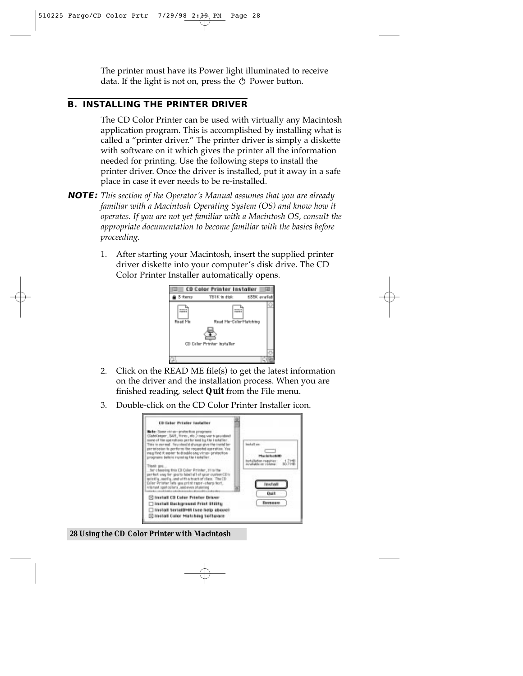The printer must have its Power light illuminated to receive data. If the light is not on, press the  $\circlearrowright$  Power button.

#### **B. INSTALLING THE PRINTER DRIVER**

The CD Color Printer can be used with virtually any Macintosh application program. This is accomplished by installing what is called a "printer driver." The printer driver is simply a diskette with software on it which gives the printer all the information needed for printing. Use the following steps to install the printer driver. Once the driver is installed, put it away in a safe place in case it ever needs to be re-installed.

- **NOTE:** *This section of the Operator's Manual assumes that you are already familiar with a Macintosh Operating System (OS) and know how it operates. If you are not yet familiar with a Macintosh OS, consult the appropriate documentation to become familiar with the basics before proceeding.*
	- 1. After starting your Macintosh, insert the supplied printer driver diskette into your computer's disk drive. The CD Color Printer Installer automatically opens.



- 2. Click on the READ ME file(s) to get the latest information on the driver and the installation process. When you are finished reading, select **Quit** from the File menu.
- 3. Double-click on the CD Color Printer Installer icon.

| <b>CD Color Printer Installer</b>                                                                                                                                                                                                                                                                                                                                                                                                                                                                                                                                                                                                              |                                                                                                   |
|------------------------------------------------------------------------------------------------------------------------------------------------------------------------------------------------------------------------------------------------------------------------------------------------------------------------------------------------------------------------------------------------------------------------------------------------------------------------------------------------------------------------------------------------------------------------------------------------------------------------------------------------|---------------------------------------------------------------------------------------------------|
| late: Sant virus-protection proprend<br>ClabsCooper; SAPI, Trines, etc.) may want you about<br>same of him apenalisas performed by the installar.<br>This is normal. You should sharp give the installer-<br>pertetestan la perform the requested aperation. You<br>meg find it seeks: to disable any virus- protection<br>programs Sellere running the installer.<br>Thank seq<br>for cheesing this CD Color Printer, H is the<br>perfect was for gos to hibel all of your custom CE/s:<br>prinklig, earlig, and with a touch of class. The CD<br>Deler Prister lets you print rape-starp text.<br>Vittmant spot collers, and even of unining | lead all are:<br><b>Plus Miller Mill</b><br><b>Nation requires</b><br>culate or colone<br>Install |
| [6] Install CD Color Printer Driver<br>Install Background Print Stilling<br>Thusall Series HH (see help above)<br>C Install Color Hatching Software                                                                                                                                                                                                                                                                                                                                                                                                                                                                                            | <b>Duit</b><br><b><i><u>Битвеции</u></i></b>                                                      |

*28 Using the CD Color Printer with Macintosh*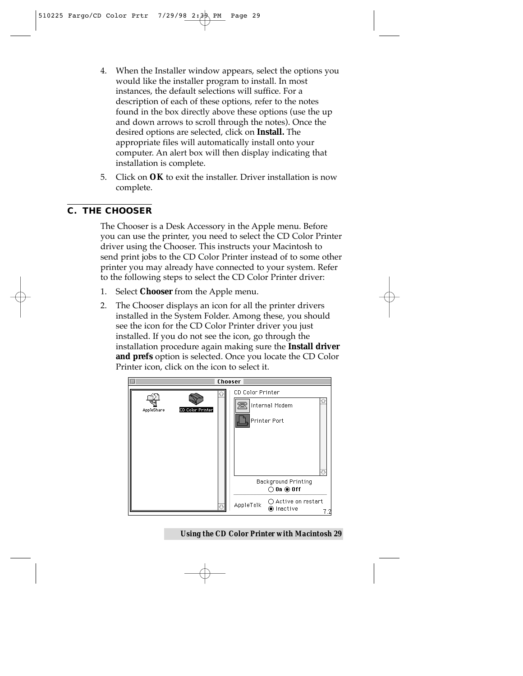- 4. When the Installer window appears, select the options you would like the installer program to install. In most instances, the default selections will suffice. For a description of each of these options, refer to the notes found in the box directly above these options (use the up and down arrows to scroll through the notes). Once the desired options are selected, click on **Install.** The appropriate files will automatically install onto your computer. An alert box will then display indicating that installation is complete.
- 5. Click on **OK** to exit the installer. Driver installation is now complete.

#### **C. THE CHOOSER**

The Chooser is a Desk Accessory in the Apple menu. Before you can use the printer, you need to select the CD Color Printer driver using the Chooser. This instructs your Macintosh to send print jobs to the CD Color Printer instead of to some other printer you may already have connected to your system. Refer to the following steps to select the CD Color Printer driver:

- 1. Select **Chooser** from the Apple menu.
- 2. The Chooser displays an icon for all the printer drivers installed in the System Folder. Among these, you should see the icon for the CD Color Printer driver you just installed. If you do not see the icon, go through the installation procedure again making sure the **Install driver and prefs** option is selected. Once you locate the CD Color Printer icon, click on the icon to select it.



*Using the CD Color Printer with Macintosh 29*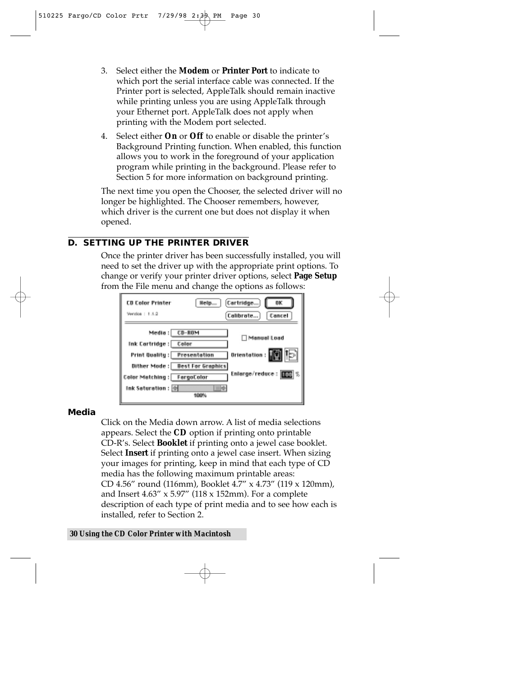- 3. Select either the **Modem** or **Printer Port** to indicate to which port the serial interface cable was connected. If the Printer port is selected, AppleTalk should remain inactive while printing unless you are using AppleTalk through your Ethernet port. AppleTalk does not apply when printing with the Modem port selected.
- 4. Select either **On** or **Off** to enable or disable the printer's Background Printing function. When enabled, this function allows you to work in the foreground of your application program while printing in the background. Please refer to Section 5 for more information on background printing.

The next time you open the Chooser, the selected driver will no longer be highlighted. The Chooser remembers, however, which driver is the current one but does not display it when opened.

#### **D. SETTING UP THE PRINTER DRIVER**

Once the printer driver has been successfully installed, you will need to set the driver up with the appropriate print options. To change or verify your printer driver options, select **Page Setup** from the File menu and change the options as follows:

| <b>CD Color Printer</b><br>Vention : 1.1.2                                                                                              | [Cartridge]<br>0K<br>Calibrate<br>Cancel                                                                               |  |
|-----------------------------------------------------------------------------------------------------------------------------------------|------------------------------------------------------------------------------------------------------------------------|--|
| Media :   CD-ROM<br><b>Ink Cartridge : Color</b><br>Print Quality :   Presentation<br>Color Matching : FargoColor<br>Ink Saturation : ⊜ | Manuel Load<br>Orientation : <b>[[6]</b> 15<br>Dither Mode: Best For Graphics<br>Enlarge/reduce : <b>FEE</b> %<br>100% |  |

#### **Media**

Click on the Media down arrow. A list of media selections appears. Select the **CD** option if printing onto printable CD-R's. Select **Booklet** if printing onto a jewel case booklet. Select **Insert** if printing onto a jewel case insert. When sizing your images for printing, keep in mind that each type of CD media has the following maximum printable areas: CD 4.56" round (116mm), Booklet 4.7" x 4.73" (119 x 120mm), and Insert  $4.63''$  x  $5.97''$  (118 x 152mm). For a complete description of each type of print media and to see how each is installed, refer to Section 2.

#### *30 Using the CD Color Printer with Macintosh*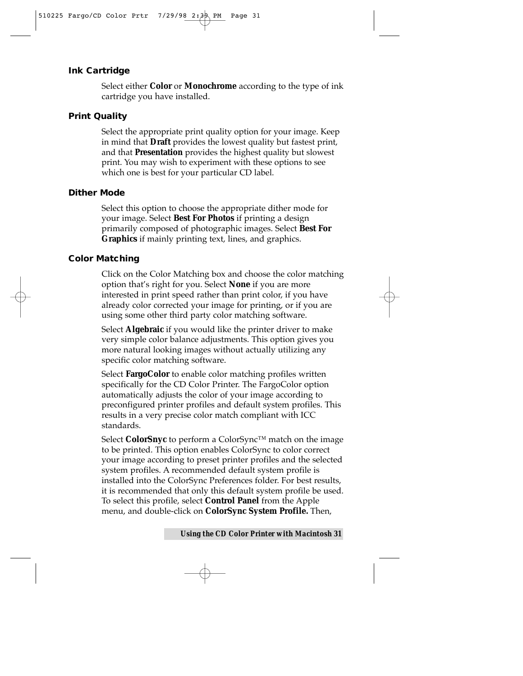#### **Ink Cartridge**

Select either **Color** or **Monochrome** according to the type of ink cartridge you have installed.

#### **Print Quality**

Select the appropriate print quality option for your image. Keep in mind that **Draft** provides the lowest quality but fastest print, and that **Presentation** provides the highest quality but slowest print. You may wish to experiment with these options to see which one is best for your particular CD label.

#### **Dither Mode**

Select this option to choose the appropriate dither mode for your image. Select **Best For Photos** if printing a design primarily composed of photographic images. Select **Best For Graphics** if mainly printing text, lines, and graphics.

#### **Color Matching**

Click on the Color Matching box and choose the color matching option that's right for you. Select **None** if you are more interested in print speed rather than print color, if you have already color corrected your image for printing, or if you are using some other third party color matching software.

Select **Algebraic** if you would like the printer driver to make very simple color balance adjustments. This option gives you more natural looking images without actually utilizing any specific color matching software.

Select **FargoColor** to enable color matching profiles written specifically for the CD Color Printer. The FargoColor option automatically adjusts the color of your image according to preconfigured printer profiles and default system profiles. This results in a very precise color match compliant with ICC standards.

Select **ColorSnyc** to perform a ColorSync™ match on the image to be printed. This option enables ColorSync to color correct your image according to preset printer profiles and the selected system profiles. A recommended default system profile is installed into the ColorSync Preferences folder. For best results, it is recommended that only this default system profile be used. To select this profile, select **Control Panel** from the Apple menu, and double-click on **ColorSync System Profile.** Then,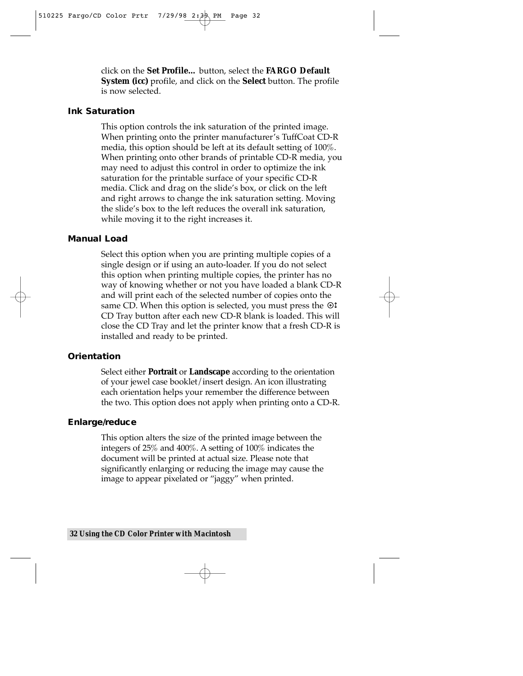click on the **Set Profile…** button, select the **FARGO Default System (icc)** profile, and click on the **Select** button. The profile is now selected.

#### **Ink Saturation**

This option controls the ink saturation of the printed image. When printing onto the printer manufacturer's TuffCoat CD-R media, this option should be left at its default setting of 100%. When printing onto other brands of printable CD-R media, you may need to adjust this control in order to optimize the ink saturation for the printable surface of your specific CD-R media. Click and drag on the slide's box, or click on the left and right arrows to change the ink saturation setting. Moving the slide's box to the left reduces the overall ink saturation, while moving it to the right increases it.

#### **Manual Load**

Select this option when you are printing multiple copies of a single design or if using an auto-loader. If you do not select this option when printing multiple copies, the printer has no way of knowing whether or not you have loaded a blank CD-R and will print each of the selected number of copies onto the same CD. When this option is selected, you must press the  $\odot$ t CD Tray button after each new CD-R blank is loaded. This will close the CD Tray and let the printer know that a fresh CD-R is installed and ready to be printed.

#### **Orientation**

Select either **Portrait** or **Landscape** according to the orientation of your jewel case booklet/insert design. An icon illustrating each orientation helps your remember the difference between the two. This option does not apply when printing onto a CD-R.

#### **Enlarge/reduce**

This option alters the size of the printed image between the integers of 25% and 400%. A setting of 100% indicates the document will be printed at actual size. Please note that significantly enlarging or reducing the image may cause the image to appear pixelated or "jaggy" when printed.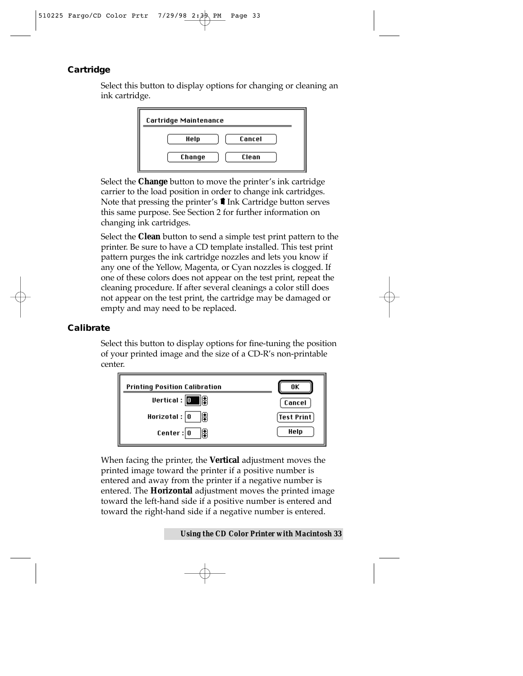#### **Cartridge**

Select this button to display options for changing or cleaning an ink cartridge.



Select the **Change** button to move the printer's ink cartridge carrier to the load position in order to change ink cartridges. Note that pressing the printer's  $\blacksquare$  Ink Cartridge button serves this same purpose. See Section 2 for further information on changing ink cartridges.

Select the **Clean** button to send a simple test print pattern to the printer. Be sure to have a CD template installed. This test print pattern purges the ink cartridge nozzles and lets you know if any one of the Yellow, Magenta, or Cyan nozzles is clogged. If one of these colors does not appear on the test print, repeat the cleaning procedure. If after several cleanings a color still does not appear on the test print, the cartridge may be damaged or empty and may need to be replaced.

#### **Calibrate**

Select this button to display options for fine-tuning the position of your printed image and the size of a CD-R's non-printable center.



When facing the printer, the **Vertical** adjustment moves the printed image toward the printer if a positive number is entered and away from the printer if a negative number is entered. The **Horizontal** adjustment moves the printed image toward the left-hand side if a positive number is entered and toward the right-hand side if a negative number is entered.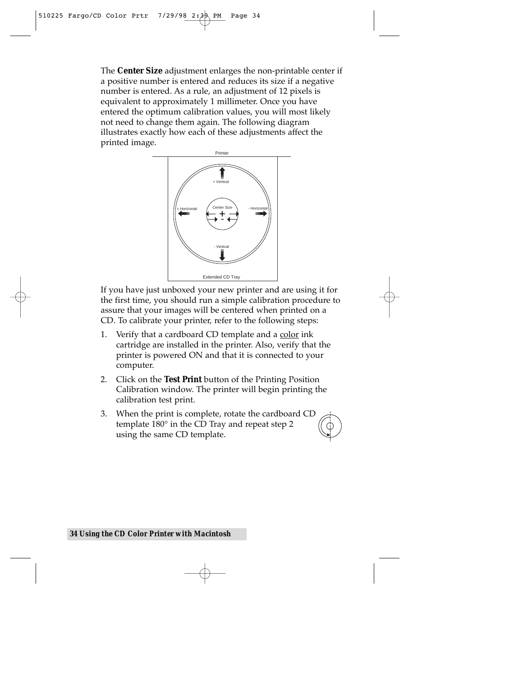The **Center Size** adjustment enlarges the non-printable center if a positive number is entered and reduces its size if a negative number is entered. As a rule, an adjustment of 12 pixels is equivalent to approximately 1 millimeter. Once you have entered the optimum calibration values, you will most likely not need to change them again. The following diagram illustrates exactly how each of these adjustments affect the printed image.



If you have just unboxed your new printer and are using it for the first time, you should run a simple calibration procedure to assure that your images will be centered when printed on a CD. To calibrate your printer, refer to the following steps:

- 1. Verify that a cardboard CD template and a color ink cartridge are installed in the printer. Also, verify that the printer is powered ON and that it is connected to your computer.
- 2. Click on the **Test Print** button of the Printing Position Calibration window. The printer will begin printing the calibration test print.
- 3. When the print is complete, rotate the cardboard CD template 180° in the CD Tray and repeat step 2 using the same CD template.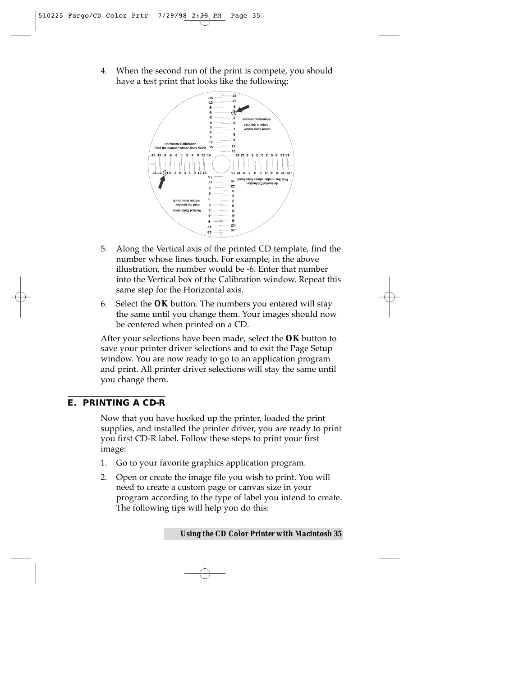4. When the second run of the print is compete, you should have a test print that looks like the following:



- 5. Along the Vertical axis of the printed CD template, find the number whose lines touch. For example, in the above illustration, the number would be -6. Enter that number into the Vertical box of the Calibration window. Repeat this same step for the Horizontal axis.
- 6. Select the **OK** button. The numbers you entered will stay the same until you change them. Your images should now be centered when printed on a CD.

After your selections have been made, select the **OK** button to save your printer driver selections and to exit the Page Setup window. You are now ready to go to an application program and print. All printer driver selections will stay the same until you change them.

#### **E. PRINTING A CD-R**

Now that you have hooked up the printer, loaded the print supplies, and installed the printer driver, you are ready to print you first CD-R label. Follow these steps to print your first image:

- 1. Go to your favorite graphics application program.
- 2. Open or create the image file you wish to print. You will need to create a custom page or canvas size in your program according to the type of label you intend to create. The following tips will help you do this: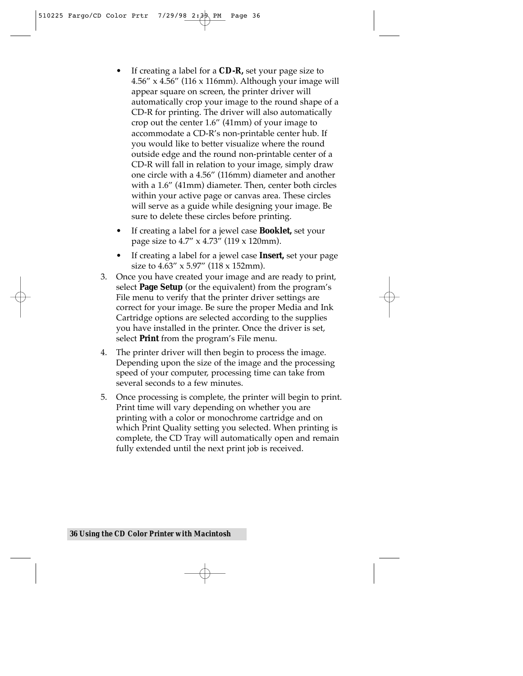- If creating a label for a **CD-R,** set your page size to 4.56" x 4.56" (116 x 116mm). Although your image will appear square on screen, the printer driver will automatically crop your image to the round shape of a CD-R for printing. The driver will also automatically crop out the center 1.6" (41mm) of your image to accommodate a CD-R's non-printable center hub. If you would like to better visualize where the round outside edge and the round non-printable center of a CD-R will fall in relation to your image, simply draw one circle with a 4.56" (116mm) diameter and another with a 1.6" (41mm) diameter. Then, center both circles within your active page or canvas area. These circles will serve as a guide while designing your image. Be sure to delete these circles before printing.
- If creating a label for a jewel case **Booklet,** set your page size to 4.7" x 4.73" (119 x 120mm).
- If creating a label for a jewel case **Insert,** set your page size to 4.63" x 5.97" (118 x 152mm).
- 3. Once you have created your image and are ready to print, select **Page Setup** (or the equivalent) from the program's File menu to verify that the printer driver settings are correct for your image. Be sure the proper Media and Ink Cartridge options are selected according to the supplies you have installed in the printer. Once the driver is set, select **Print** from the program's File menu.
- 4. The printer driver will then begin to process the image. Depending upon the size of the image and the processing speed of your computer, processing time can take from several seconds to a few minutes.
- 5. Once processing is complete, the printer will begin to print. Print time will vary depending on whether you are printing with a color or monochrome cartridge and on which Print Quality setting you selected. When printing is complete, the CD Tray will automatically open and remain fully extended until the next print job is received.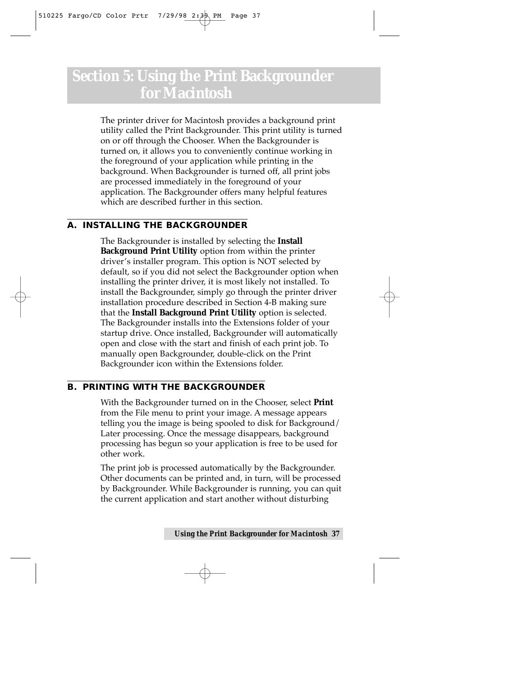### *Section 5:* **Using the Print Backgrounder for Macintosh**

The printer driver for Macintosh provides a background print utility called the Print Backgrounder. This print utility is turned on or off through the Chooser. When the Backgrounder is turned on, it allows you to conveniently continue working in the foreground of your application while printing in the background. When Backgrounder is turned off, all print jobs are processed immediately in the foreground of your application. The Backgrounder offers many helpful features which are described further in this section.

#### **A. INSTALLING THE BACKGROUNDER**

The Backgrounder is installed by selecting the **Install Background Print Utility** option from within the printer driver's installer program. This option is NOT selected by default, so if you did not select the Backgrounder option when installing the printer driver, it is most likely not installed. To install the Backgrounder, simply go through the printer driver installation procedure described in Section 4-B making sure that the **Install Background Print Utility** option is selected. The Backgrounder installs into the Extensions folder of your startup drive. Once installed, Backgrounder will automatically open and close with the start and finish of each print job. To manually open Backgrounder, double-click on the Print Backgrounder icon within the Extensions folder.

#### **B. PRINTING WITH THE BACKGROUNDER**

With the Backgrounder turned on in the Chooser, select **Print** from the File menu to print your image. A message appears telling you the image is being spooled to disk for Background/ Later processing. Once the message disappears, background processing has begun so your application is free to be used for other work.

The print job is processed automatically by the Backgrounder. Other documents can be printed and, in turn, will be processed by Backgrounder. While Backgrounder is running, you can quit the current application and start another without disturbing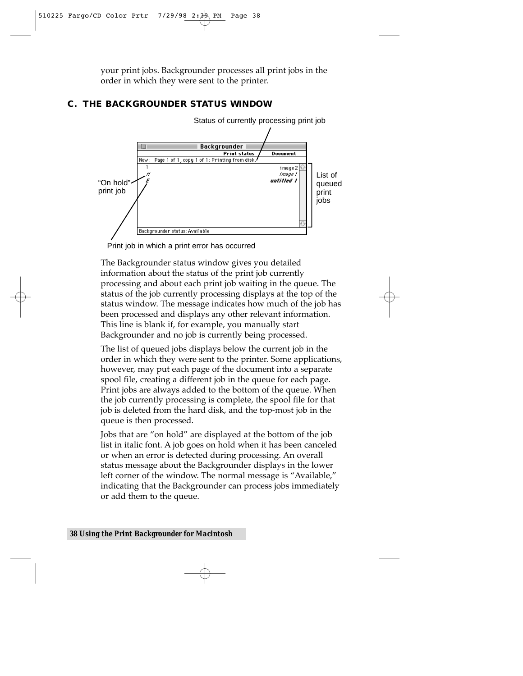your print jobs. Backgrounder processes all print jobs in the order in which they were sent to the printer.

#### **C. THE BACKGROUNDER STATUS WINDOW**



Status of currently processing print job

Print job in which a print error has occurred

The Backgrounder status window gives you detailed information about the status of the print job currently processing and about each print job waiting in the queue. The status of the job currently processing displays at the top of the status window. The message indicates how much of the job has been processed and displays any other relevant information. This line is blank if, for example, you manually start Backgrounder and no job is currently being processed.

The list of queued jobs displays below the current job in the order in which they were sent to the printer. Some applications, however, may put each page of the document into a separate spool file, creating a different job in the queue for each page. Print jobs are always added to the bottom of the queue. When the job currently processing is complete, the spool file for that job is deleted from the hard disk, and the top-most job in the queue is then processed.

Jobs that are "on hold" are displayed at the bottom of the job list in italic font. A job goes on hold when it has been canceled or when an error is detected during processing. An overall status message about the Backgrounder displays in the lower left corner of the window. The normal message is "Available," indicating that the Backgrounder can process jobs immediately or add them to the queue.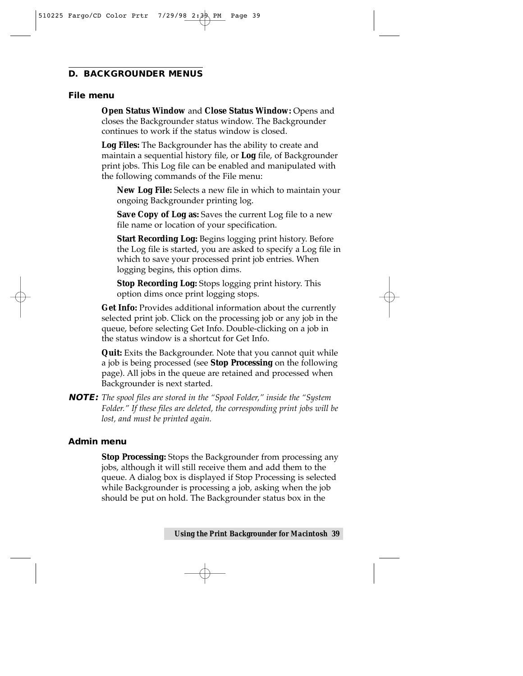#### **D. BACKGROUNDER MENUS**

#### **File menu**

**Open Status Window** and **Close Status Window:** Opens and closes the Backgrounder status window. The Backgrounder continues to work if the status window is closed.

**Log Files:** The Backgrounder has the ability to create and maintain a sequential history file, or **Log** file, of Backgrounder print jobs. This Log file can be enabled and manipulated with the following commands of the File menu:

**New Log File:** Selects a new file in which to maintain your ongoing Backgrounder printing log.

**Save Copy of Log as:** Saves the current Log file to a new file name or location of your specification.

**Start Recording Log:** Begins logging print history. Before the Log file is started, you are asked to specify a Log file in which to save your processed print job entries. When logging begins, this option dims.

**Stop Recording Log:** Stops logging print history. This option dims once print logging stops.

**Get Info:** Provides additional information about the currently selected print job. Click on the processing job or any job in the queue, before selecting Get Info. Double-clicking on a job in the status window is a shortcut for Get Info.

**Quit:** Exits the Backgrounder. Note that you cannot quit while a job is being processed (see **Stop Processing** on the following page). All jobs in the queue are retained and processed when Backgrounder is next started.

**NOTE:** *The spool files are stored in the "Spool Folder," inside the "System Folder." If these files are deleted, the corresponding print jobs will be lost, and must be printed again.* 

#### **Admin menu**

**Stop Processing:** Stops the Backgrounder from processing any jobs, although it will still receive them and add them to the queue. A dialog box is displayed if Stop Processing is selected while Backgrounder is processing a job, asking when the job should be put on hold. The Backgrounder status box in the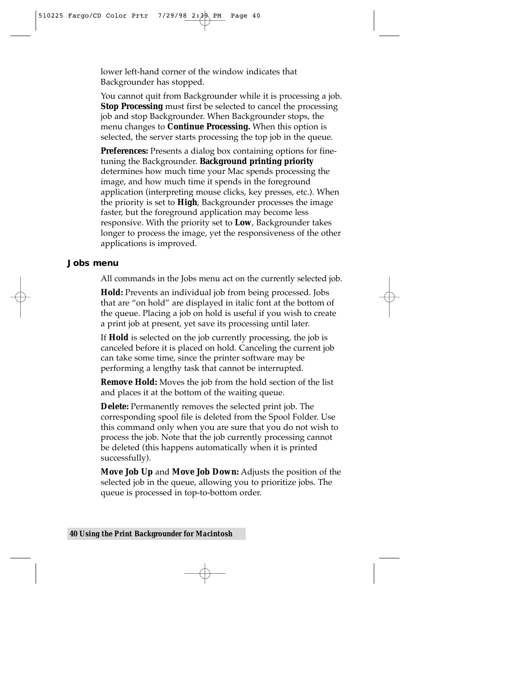lower left-hand corner of the window indicates that Backgrounder has stopped.

You cannot quit from Backgrounder while it is processing a job. **Stop Processing** must first be selected to cancel the processing job and stop Backgrounder. When Backgrounder stops, the menu changes to **Continue Processing.** When this option is selected, the server starts processing the top job in the queue.

**Preferences:** Presents a dialog box containing options for finetuning the Backgrounder. **Background printing priority** determines how much time your Mac spends processing the image, and how much time it spends in the foreground application (interpreting mouse clicks, key presses, etc.). When the priority is set to **High**, Backgrounder processes the image faster, but the foreground application may become less responsive. With the priority set to **Low**, Backgrounder takes longer to process the image, yet the responsiveness of the other applications is improved.

#### **Jobs menu**

All commands in the Jobs menu act on the currently selected job.

**Hold:** Prevents an individual job from being processed. Jobs that are "on hold" are displayed in italic font at the bottom of the queue. Placing a job on hold is useful if you wish to create a print job at present, yet save its processing until later.

If **Hold** is selected on the job currently processing, the job is canceled before it is placed on hold. Canceling the current job can take some time, since the printer software may be performing a lengthy task that cannot be interrupted.

**Remove Hold:** Moves the job from the hold section of the list and places it at the bottom of the waiting queue.

**Delete:** Permanently removes the selected print job. The corresponding spool file is deleted from the Spool Folder. Use this command only when you are sure that you do not wish to process the job. Note that the job currently processing cannot be deleted (this happens automatically when it is printed successfully).

**Move Job Up** and **Move Job Down:** Adjusts the position of the selected job in the queue, allowing you to prioritize jobs. The queue is processed in top-to-bottom order.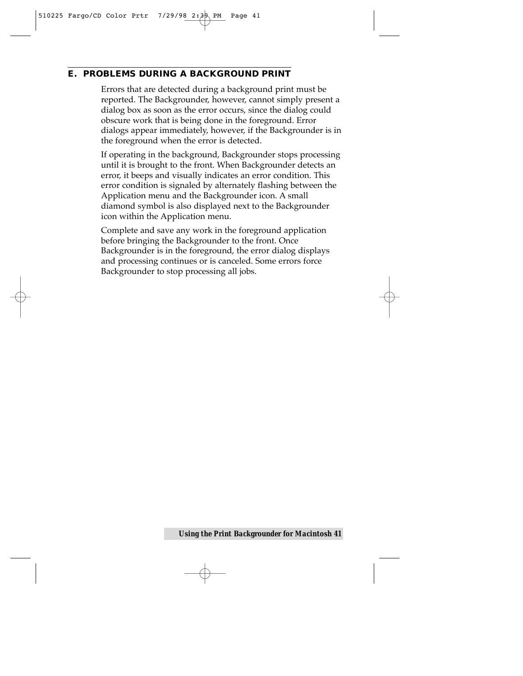#### **E. PROBLEMS DURING A BACKGROUND PRINT**

Errors that are detected during a background print must be reported. The Backgrounder, however, cannot simply present a dialog box as soon as the error occurs, since the dialog could obscure work that is being done in the foreground. Error dialogs appear immediately, however, if the Backgrounder is in the foreground when the error is detected.

If operating in the background, Backgrounder stops processing until it is brought to the front. When Backgrounder detects an error, it beeps and visually indicates an error condition. This error condition is signaled by alternately flashing between the Application menu and the Backgrounder icon. A small diamond symbol is also displayed next to the Backgrounder icon within the Application menu.

Complete and save any work in the foreground application before bringing the Backgrounder to the front. Once Backgrounder is in the foreground, the error dialog displays and processing continues or is canceled. Some errors force Backgrounder to stop processing all jobs.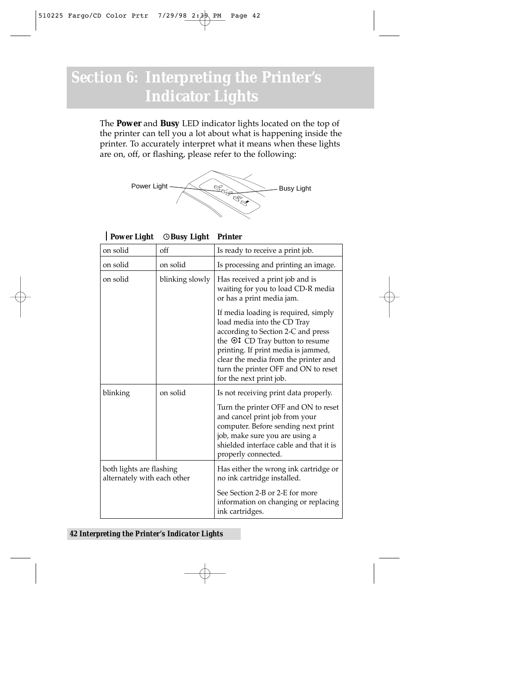## *Section 6:* **Interpreting the Printer's Indicator Lights**

The **Power** and **Busy** LED indicator lights located on the top of the printer can tell you a lot about what is happening inside the printer. To accurately interpret what it means when these lights are on, off, or flashing, please refer to the following:



**Power Light ©Busy Light Printer** 

| on solid                                                | off             | Is ready to receive a print job.                                                                                                                                                                                                                                                               |
|---------------------------------------------------------|-----------------|------------------------------------------------------------------------------------------------------------------------------------------------------------------------------------------------------------------------------------------------------------------------------------------------|
| on solid                                                | on solid        | Is processing and printing an image.                                                                                                                                                                                                                                                           |
| on solid                                                | blinking slowly | Has received a print job and is<br>waiting for you to load CD-R media<br>or has a print media jam.                                                                                                                                                                                             |
|                                                         |                 | If media loading is required, simply<br>load media into the CD Tray<br>according to Section 2-C and press<br>the ©‡ CD Tray button to resume<br>printing. If print media is jammed,<br>clear the media from the printer and<br>turn the printer OFF and ON to reset<br>for the next print job. |
| blinking                                                | on solid        | Is not receiving print data properly.<br>Turn the printer OFF and ON to reset<br>and cancel print job from your<br>computer. Before sending next print<br>job, make sure you are using a<br>shielded interface cable and that it is<br>properly connected.                                     |
| both lights are flashing<br>alternately with each other |                 | Has either the wrong ink cartridge or<br>no ink cartridge installed.<br>See Section 2-B or 2-E for more<br>information on changing or replacing<br>ink cartridges.                                                                                                                             |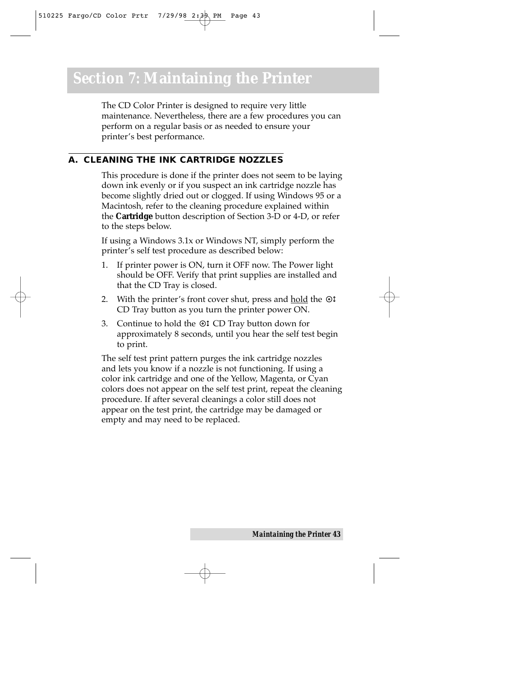The CD Color Printer is designed to require very little maintenance. Nevertheless, there are a few procedures you can perform on a regular basis or as needed to ensure your printer's best performance.

#### **A. CLEANING THE INK CARTRIDGE NOZZLES**

This procedure is done if the printer does not seem to be laying down ink evenly or if you suspect an ink cartridge nozzle has become slightly dried out or clogged. If using Windows 95 or a Macintosh, refer to the cleaning procedure explained within the **Cartridge** button description of Section 3-D or 4-D, or refer to the steps below.

If using a Windows 3.1x or Windows NT, simply perform the printer's self test procedure as described below:

- 1. If printer power is ON, turn it OFF now. The Power light should be OFF. Verify that print supplies are installed and that the CD Tray is closed.
- 2. With the printer's front cover shut, press and  $\underline{\text{hold}}$  the  $\odot\text{1}$ CD Tray button as you turn the printer power ON.
- 3. Continue to hold the  $\odot$  CD Tray button down for approximately 8 seconds, until you hear the self test begin to print.

The self test print pattern purges the ink cartridge nozzles and lets you know if a nozzle is not functioning. If using a color ink cartridge and one of the Yellow, Magenta, or Cyan colors does not appear on the self test print, repeat the cleaning procedure. If after several cleanings a color still does not appear on the test print, the cartridge may be damaged or empty and may need to be replaced.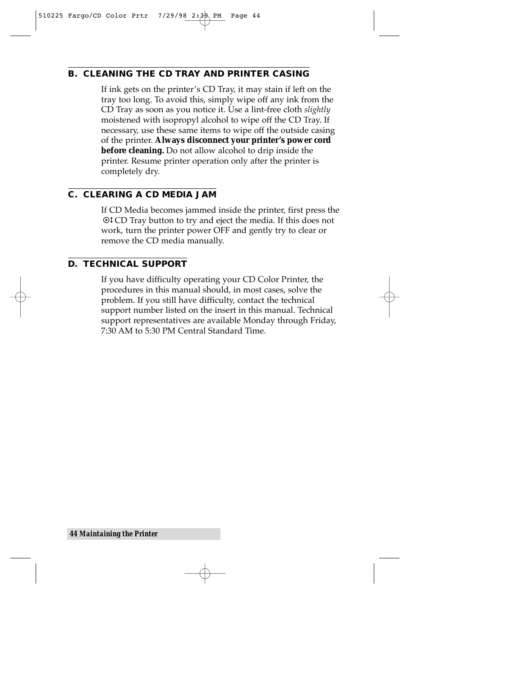#### **B. CLEANING THE CD TRAY AND PRINTER CASING**

If ink gets on the printer's CD Tray, it may stain if left on the tray too long. To avoid this, simply wipe off any ink from the CD Tray as soon as you notice it. Use a lint-free cloth *slightly* moistened with isopropyl alcohol to wipe off the CD Tray. If necessary, use these same items to wipe off the outside casing of the printer. **Always disconnect your printer's power cord before cleaning.** Do not allow alcohol to drip inside the printer. Resume printer operation only after the printer is completely dry.

#### **C. CLEARING A CD MEDIA JAM**

If CD Media becomes jammed inside the printer, first press the CD Tray button to try and eject the media. If this does not work, turn the printer power OFF and gently try to clear or remove the CD media manually.

#### **D. TECHNICAL SUPPORT**

If you have difficulty operating your CD Color Printer, the procedures in this manual should, in most cases, solve the problem. If you still have difficulty, contact the technical support number listed on the insert in this manual. Technical support representatives are available Monday through Friday, 7:30 AM to 5:30 PM Central Standard Time.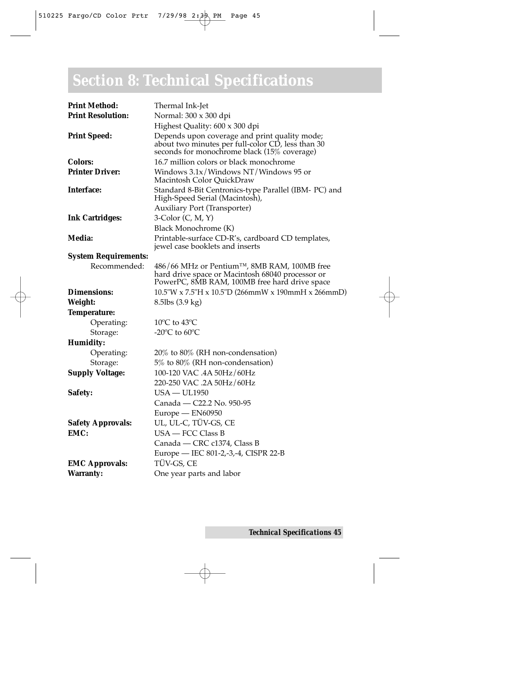## *Section 8:* **Technical Specifications**

| <b>Print Method:</b>        | Thermal Ink-Jet                                                                                                                                  |
|-----------------------------|--------------------------------------------------------------------------------------------------------------------------------------------------|
| <b>Print Resolution:</b>    | Normal: 300 x 300 dpi                                                                                                                            |
|                             | Highest Quality: 600 x 300 dpi                                                                                                                   |
| <b>Print Speed:</b>         | Depends upon coverage and print quality mode;<br>about two minutes per full-color CD, less than 30 seconds for monochrome black (15% coverage)   |
| <b>Colors:</b>              | 16.7 million colors or black monochrome                                                                                                          |
| <b>Printer Driver:</b>      | Windows $3.1x$ /Windows NT/Windows 95 or<br>Macintosh Color OuickDraw                                                                            |
| <b>Interface:</b>           | Standard 8-Bit Centronics-type Parallel (IBM- PC) and<br>High-Speed Serial (Macintosh),                                                          |
|                             | <b>Auxiliary Port (Transporter)</b>                                                                                                              |
| <b>Ink Cartridges:</b>      | $3$ -Color (C, M, Y)                                                                                                                             |
|                             | Black Monochrome (K)                                                                                                                             |
| Media:                      | Printable-surface CD-R's, cardboard CD templates,<br>jewel case booklets and inserts                                                             |
| <b>System Requirements:</b> |                                                                                                                                                  |
| Recommended:                | 486/66 MHz or Pentium™, 8MB RAM, 100MB free<br>hard drive space or Macintosh 68040 processor or<br>PowerPC, 8MB RAM, 100MB free hard drive space |
| <b>Dimensions:</b>          | 10.5"W x 7.5"H x 10.5"D (266mmW x 190mmH x 266mmD)                                                                                               |
| Weight:                     | 8.5lbs (3.9 kg)                                                                                                                                  |
| Temperature:                |                                                                                                                                                  |
| Operating:                  | $10^{\circ}$ C to $43^{\circ}$ C                                                                                                                 |
| Storage:                    | -20 $^{\circ}$ C to 60 $^{\circ}$ C                                                                                                              |
| Humidity:                   |                                                                                                                                                  |
| Operating:                  | $20\%$ to $80\%$ (RH non-condensation)                                                                                                           |
| Storage:                    | 5% to 80% (RH non-condensation)                                                                                                                  |
| <b>Supply Voltage:</b>      | 100-120 VAC .4A 50Hz/60Hz                                                                                                                        |
|                             | 220-250 VAC .2A 50Hz/60Hz                                                                                                                        |
| Safety:                     | $USA - UL1950$                                                                                                                                   |
|                             | Canada - C22.2 No. 950-95                                                                                                                        |
|                             | Europe - EN60950                                                                                                                                 |
| <b>Safety Approvals:</b>    | UL, UL-C, TÜV-GS, CE                                                                                                                             |
| EMC:                        | USA - FCC Class B                                                                                                                                |
|                             | Canada - CRC c1374, Class B                                                                                                                      |
|                             | Europe - IEC 801-2,-3,-4, CISPR 22-B                                                                                                             |
| <b>EMC Approvals:</b>       | TÜV-GS, CE                                                                                                                                       |
| <b>Warranty:</b>            | One year parts and labor                                                                                                                         |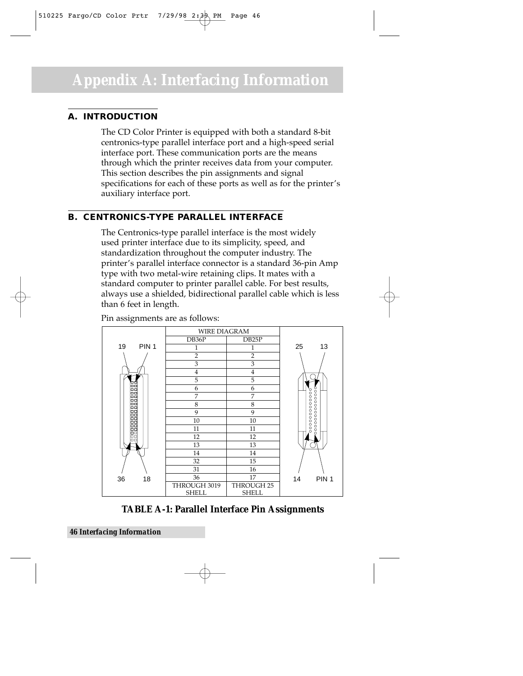#### **A. INTRODUCTION**

The CD Color Printer is equipped with both a standard 8-bit centronics-type parallel interface port and a high-speed serial interface port. These communication ports are the means through which the printer receives data from your computer. This section describes the pin assignments and signal specifications for each of these ports as well as for the printer's auxiliary interface port.

#### **B. CENTRONICS-TYPE PARALLEL INTERFACE**

The Centronics-type parallel interface is the most widely used printer interface due to its simplicity, speed, and standardization throughout the computer industry. The printer's parallel interface connector is a standard 36-pin Amp type with two metal-wire retaining clips. It mates with a standard computer to printer parallel cable. For best results, always use a shielded, bidirectional parallel cable which is less than 6 feet in length.



Pin assignments are as follows:

**TABLE A-1: Parallel Interface Pin Assignments**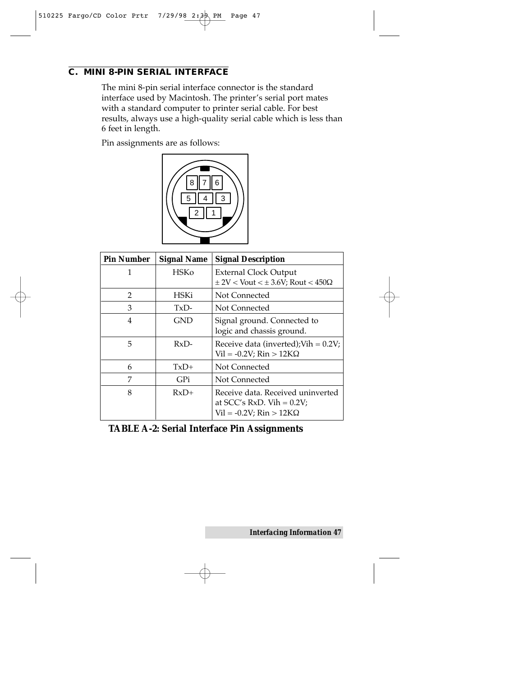#### **C. MINI 8-PIN SERIAL INTERFACE**

The mini 8-pin serial interface connector is the standard interface used by Macintosh. The printer's serial port mates with a standard computer to printer serial cable. For best results, always use a high-quality serial cable which is less than 6 feet in length.

Pin assignments are as follows:



| <b>Pin Number</b> | <b>Signal Name</b> | <b>Signal Description</b>                         |
|-------------------|--------------------|---------------------------------------------------|
|                   | HSKo               | External Clock Output                             |
|                   |                    | $\pm$ 2V < Vout < $\pm$ 3.6V; Rout < 450 $\Omega$ |
| $\mathcal{P}$     | HSKi               | Not Connected                                     |
| 3                 | TxD-               | Not Connected                                     |
| 4                 | <b>GND</b>         | Signal ground. Connected to                       |
|                   |                    | logic and chassis ground.                         |
| 5                 | $RxD-$             | Receive data (inverted); Vih = $0.2V$ ;           |
|                   |                    | $Vil = -0.2V$ ; Rin > 12K $\Omega$                |
| 6                 | $TxD+$             | Not Connected                                     |
| 7                 | GPi                | Not Connected                                     |
| 8                 | $RxD+$             | Receive data. Received uninverted                 |
|                   |                    | at $SCC's RxD$ . Vih = 0.2V;                      |
|                   |                    | $Vil = -0.2V$ ; Rin > 12K $\Omega$                |

**TABLE A-2: Serial Interface Pin Assignments**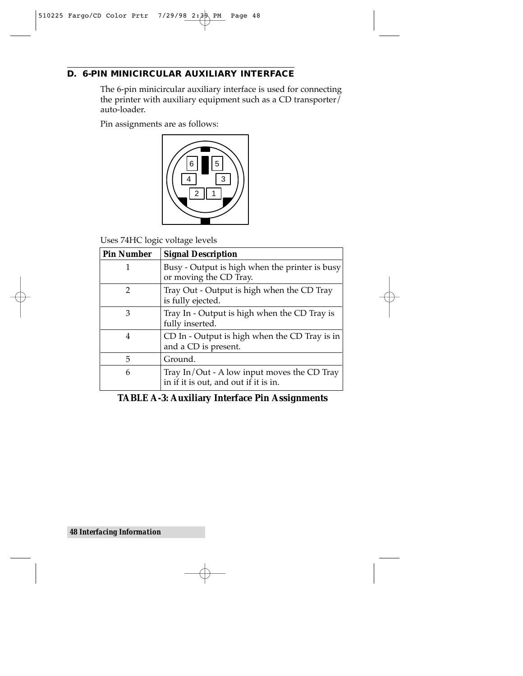#### **D. 6-PIN MINICIRCULAR AUXILIARY INTERFACE**

The 6-pin minicircular auxiliary interface is used for connecting the printer with auxiliary equipment such as a CD transporter $\overline{I}$ auto-loader.

Pin assignments are as follows:



Uses 74HC logic voltage levels

| <b>Pin Number</b> | <b>Signal Description</b>                                                            |
|-------------------|--------------------------------------------------------------------------------------|
|                   | Busy - Output is high when the printer is busy<br>or moving the CD Tray.             |
| 2                 | Tray Out - Output is high when the CD Tray<br>is fully ejected.                      |
| 3                 | Tray In - Output is high when the CD Tray is<br>fully inserted.                      |
| 4                 | CD In - Output is high when the CD Tray is in<br>and a CD is present.                |
| 5                 | Ground.                                                                              |
| 6                 | Tray In/Out - A low input moves the CD Tray<br>in if it is out, and out if it is in. |

#### **TABLE A-3: Auxiliary Interface Pin Assignments**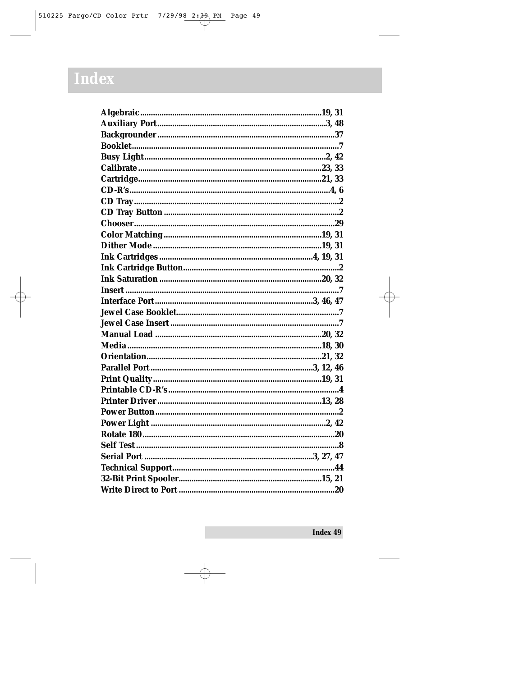## Index